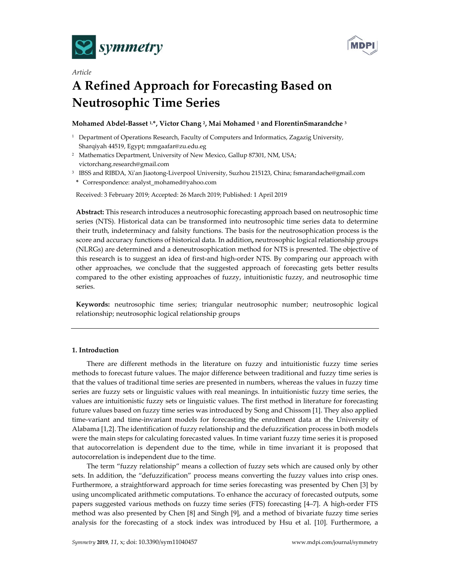

*Article*



# **A Refined Approach for Forecasting Based on Neutrosophic Time Series**

# **Mohamed Abdel-Basset 1,\*, Victor Chang 2, Mai Mohamed 1 and FlorentinSmarandche <sup>3</sup>**

- <sup>1</sup> Department of Operations Research, Faculty of Computers and Informatics, Zagazig University, Sharqiyah 44519, Egypt; mmgaafar@zu.edu.eg
- <sup>2</sup> Mathematics Department, University of New Mexico, Gallup 87301, NM, USA; victorchang.research@gmail.com
- <sup>3</sup> IBSS and RIBDA, Xi'an Jiaotong-Liverpool University, Suzhou 215123, China; fsmarandache@gmail.com
- **\*** Correspondence: analyst\_mohamed@yahoo.com

Received: 3 February 2019; Accepted: 26 March 2019; Published: 1 April 2019

**Abstract:** This research introduces a neutrosophic forecasting approach based on neutrosophic time series (NTS). Historical data can be transformed into neutrosophic time series data to determine their truth, indeterminacy and falsity functions. The basis for the neutrosophication process is the score and accuracy functions of historical data. In addition**,** neutrosophic logical relationship groups (NLRGs) are determined and a deneutrosophication method for NTS is presented. The objective of this research is to suggest an idea of first-and high-order NTS. By comparing our approach with other approaches, we conclude that the suggested approach of forecasting gets better results compared to the other existing approaches of fuzzy, intuitionistic fuzzy, and neutrosophic time series.

**Keywords:** neutrosophic time series; triangular neutrosophic number; neutrosophic logical relationship; neutrosophic logical relationship groups

# **1. Introduction**

There are different methods in the literature on fuzzy and intuitionistic fuzzy time series methods to forecast future values. The major difference between traditional and fuzzy time series is that the values of traditional time series are presented in numbers, whereas the values in fuzzy time series are fuzzy sets or linguistic values with real meanings. In intuitionistic fuzzy time series, the values are intuitionistic fuzzy sets or linguistic values. The first method in literature for forecasting future values based on fuzzy time series was introduced by Song and Chissom [1]. They also applied time-variant and time-invariant models for forecasting the enrollment data at the University of Alabama [1,2]. The identification of fuzzy relationship and the defuzzification process in both models were the main steps for calculating forecasted values. In time variant fuzzy time series it is proposed that autocorrelation is dependent due to the time, while in time invariant it is proposed that autocorrelation is independent due to the time.

The term "fuzzy relationship" means a collection of fuzzy sets which are caused only by other sets. In addition, the "defuzzification" process means converting the fuzzy values into crisp ones. Furthermore, a straightforward approach for time series forecasting was presented by Chen [3] by using uncomplicated arithmetic computations. To enhance the accuracy of forecasted outputs, some papers suggested various methods on fuzzy time series (FTS) forecasting [4–7]. A high-order FTS method was also presented by Chen [8] and Singh [9], and a method of bivariate fuzzy time series analysis for the forecasting of a stock index was introduced by Hsu et al. [10]. Furthermore, a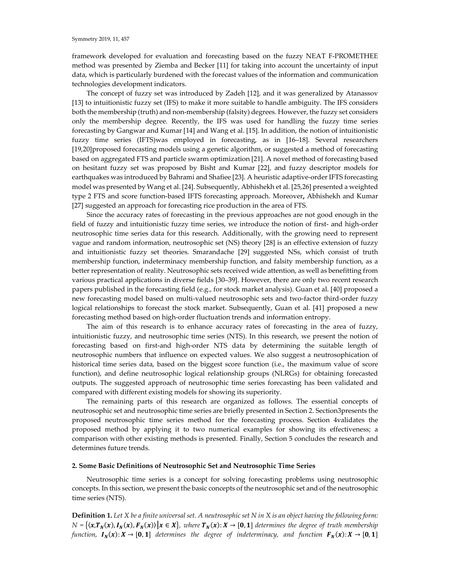framework developed for evaluation and forecasting based on the fuzzy NEAT F-PROMETHEE method was presented by Ziemba and Becker [11] for taking into account the uncertainty of input data, which is particularly burdened with the forecast values of the information and communication technologies development indicators.

The concept of fuzzy set was introduced by Zadeh [12], and it was generalized by Atanassov [13] to intuitionistic fuzzy set (IFS) to make it more suitable to handle ambiguity. The IFS considers both the membership (truth) and non-membership (falsity) degrees. However, the fuzzy set considers only the membership degree. Recently, the IFS was used for handling the fuzzy time series forecasting by Gangwar and Kumar [14] and Wang et al. [15]. In addition, the notion of intuitionistic fuzzy time series (IFTS)was employed in forecasting, as in [16–18]. Several researchers [19,20]proposed forecasting models using a genetic algorithm, or suggested a method of forecasting based on aggregated FTS and particle swarm optimization [21]. A novel method of forecasting based on hesitant fuzzy set was proposed by Bisht and Kumar [22], and fuzzy descriptor models for earthquakes was introduced by Bahrami and Shafiee [23]. A heuristic adaptive-order IFTS forecasting model was presented by Wang et al. [24]. Subsequently, Abhishekh et al. [25,26] presented a weighted type 2 FTS and score function-based IFTS forecasting approach. Moreover**,** Abhishekh and Kumar [27] suggested an approach for forecasting rice production in the area of FTS.

Since the accuracy rates of forecasting in the previous approaches are not good enough in the field of fuzzy and intuitionistic fuzzy time series, we introduce the notion of first- and high-order neutrosophic time series data for this research. Additionally, with the growing need to represent vague and random information, neutrosophic set (NS) theory [28] is an effective extension of fuzzy and intuitionistic fuzzy set theories. Smarandache [29] suggested NSs, which consist of truth membership function, indeterminacy membership function, and falsity membership function, as a better representation of reality. Neutrosophic sets received wide attention, as well as benefitting from various practical applications in diverse fields [30–39]. However, there are only two recent research papers published in the forecasting field (e.g., for stock market analysis). Guan et al. [40] proposed a new forecasting model based on multi-valued neutrosophic sets and two-factor third-order fuzzy logical relationships to forecast the stock market. Subsequently, Guan et al. [41] proposed a new forecasting method based on high-order fluctuation trends and information entropy.

The aim of this research is to enhance accuracy rates of forecasting in the area of fuzzy, intuitionistic fuzzy, and neutrosophic time series (NTS). In this research, we present the notion of forecasting based on first-and high-order NTS data by determining the suitable length of neutrosophic numbers that influence on expected values. We also suggest a neutrosophication of historical time series data, based on the biggest score function (i.e., the maximum value of score function), and define neutrosophic logical relationship groups (NLRGs) for obtaining forecasted outputs. The suggested approach of neutrosophic time series forecasting has been validated and compared with different existing models for showing its superiority.

The remaining parts of this research are organized as follows. The essential concepts of neutrosophic set and neutrosophic time series are briefly presented in Section 2. Section3presents the proposed neutrosophic time series method for the forecasting process. Section 4validates the proposed method by applying it to two numerical examples for showing its effectiveness; a comparison with other existing methods is presented. Finally, Section 5 concludes the research and determines future trends.

#### **2. Some Basic Definitions of Neutrosophic Set and Neutrosophic Time Series**

Neutrosophic time series is a concept for solving forecasting problems using neutrosophic concepts. In this section, we present the basic concepts of the neutrosophic set and of the neutrosophic time series (NTS).

**Definition 1.** *Let X be a finite universal set. A neutrosophic set N in X is an object having the following form:*  $N = \{ \langle x, T_N(x), I_N(x), F_N(x) \rangle | x \in X \}$ , where  $T_N(x) \colon X \to [0, 1]$  determines the degree of truth membership *function,*  $I_N(x): X \to [0, 1]$  *determines the degree of indeterminacy, and function*  $F_N(x): X \to [0, 1]$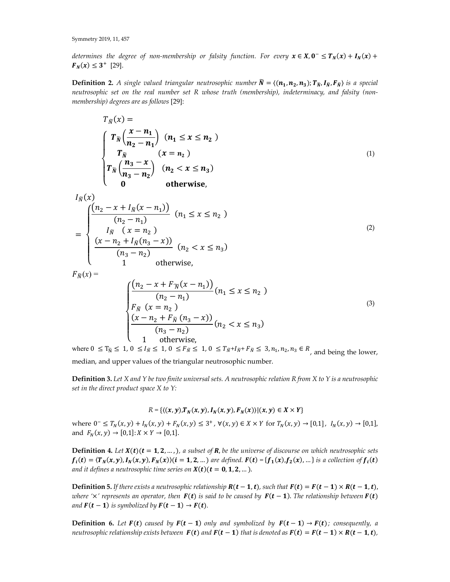*determines the degree of non-membership or falsity function. For every*  $x \in X$ ,  $0^- \le T_N(x) + I_N(x) + I_N(x)$  $F_N(x) \leq 3^+$  [29].

**Definition 2.** *A single valued triangular neutrosophic number*  $\tilde{N} = \langle (n_1, n_2, n_3); T_{\tilde{N}}, I_{\tilde{N}}, F_{\tilde{N}} \rangle$  *is a special neutrosophic set on the real number set R whose truth (membership), indeterminacy, and falsity (nonmembership) degrees are as follows* [29]:

$$
T_{\tilde{N}}(x) =
$$
\n
$$
\begin{cases}\nT_{\tilde{N}}\left(\frac{x - n_1}{n_2 - n_1}\right) & (n_1 \le x \le n_2) \\
T_{\tilde{N}} & (x = n_2) \\
T_{\tilde{N}}\left(\frac{n_3 - x}{n_3 - n_2}\right) & (n_2 < x \le n_3)\n\end{cases}
$$
\n(*1*)\n*otherwise,*\n
$$
I_{\tilde{N}}(x)
$$
\n
$$
= \begin{cases}\n\frac{\left(n_2 - x + I_{\tilde{N}}(x - n_1)\right)}{\left(n_2 - n_1\right)} & (n_1 \le x \le n_2) \\
I_{\tilde{N}} & (x = n_2) \\
\frac{\left(x - n_2 + I_{\tilde{N}}(n_3 - x)\right)}{\left(n_3 - n_2\right)} & (n_2 < x \le n_3)\n\end{cases}
$$
\n(*2*)\n*th* terms of the following equations:\n
$$
F_{\tilde{N}}(x) = \frac{\left(n_2 - x + F_{\tilde{N}}(x - n_1)\right)}{\left(n_2 - x + F_{\tilde{N}}(x - n_1)\right)}
$$

$$
\begin{cases}\n\frac{(n_2 - x + F_{\overline{N}}(x - n_1))}{(n_2 - n_1)} (n_1 \le x \le n_2) \\
F_{\tilde{N}} (x = n_2) \\
\frac{(x - n_2 + F_{\tilde{N}} (n_3 - x))}{(n_3 - n_2)} (n_2 < x \le n_3) \\
1 & \text{otherwise,} \n\end{cases} \tag{3}
$$

where  $0 \le T_{\tilde{N}} \le 1$ ,  $0 \le I_{\tilde{N}} \le 1$ ,  $0 \le F_{\tilde{N}} \le 1$ ,  $0 \le T_{\tilde{N}}+I_{\tilde{N}}+F_{\tilde{N}} \le 3$ ,  $n_1, n_2, n_3 \in R$ , and being the lower, median, and upper values of the triangular neutrosophic number.

**Definition 3.** *Let X and Y be two finite universal sets. A neutrosophic relation R from X to Y is a neutrosophic set in the direct product space X to Y:*

$$
R = \{ \langle (x, y), T_N(x, y), I_N(x, y), F_N(x) \rangle | (x, y) \in X \times Y \}
$$

where  $0^- \le T_N(x, y) + I_N(x, y) + F_N(x, y) \le 3^+$ ,  $\forall (x, y) \in X \times Y$  for  $T_N(x, y) \to [0, 1]$ ,  $I_N(x, y) \to [0, 1]$ , and  $F_N(x, y) \to [0,1]: X \times Y \to [0,1].$ 

**Definition 4.** Let  $X(t)$   $(t = 1, 2, ...,)$ , a subset of **R**, be the universe of discourse on which neutrosophic sets  $f_i(t) = \langle T_N(x, y), I_N(x, y), F_N(x) \rangle (i = 1, 2, ...)$  are defined.  $F(t) = \{f_1(x), f_2(x), ... \}$  *is a collection of*  $f_i(t)$ *and it defines a neutrosophic time series on*  $X(t)$  ( $t = 0, 1, 2, ...$ ).

**Definition 5.** *If there exists a neutrosophic relationship*  $R(t - 1, t)$ *, such that*  $F(t) = F(t - 1) \times R(t - 1, t)$ *, where '* $\times$ ' represents an operator, then  $F(t)$  is said to be caused by  $F(t-1)$ . The relationship between  $F(t)$ *and*  $F(t - 1)$  *is symbolized by*  $F(t - 1) \rightarrow F(t)$ *.* 

**Definition 6.** Let  $F(t)$  caused by  $F(t-1)$  only and symbolized by  $F(t-1) \rightarrow F(t)$ ; consequently, a *neutrosophic relationship exists between*  $F(t)$  *and*  $F(t-1)$  *that is denoted as*  $F(t) = F(t-1) \times R(t-1,t)$ *,*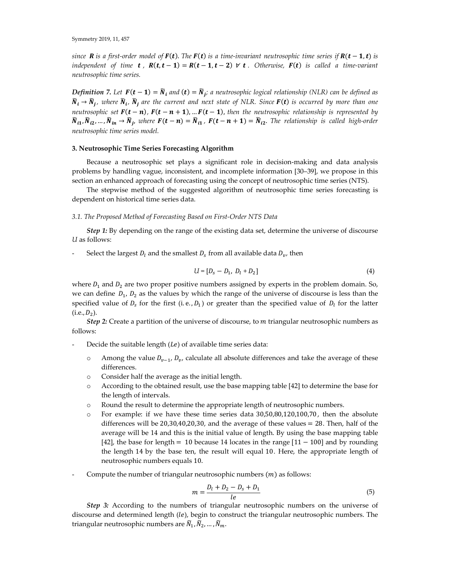*since R is a first-order model of*  $F(t)$ *. The*  $F(t)$  *is a time-invariant neutrosophic time series if*  $R(t-1,t)$  *is independent of time t,*  $R(t, t-1) = R(t-1, t-2)$  $\forall$  *t. Otherwise,*  $F(t)$  *is called a time-variant neutrosophic time series.*

*Definition 7. Let*  $F(t - 1) = \tilde{N}_i$  and  $(t) = \tilde{N}_i$ ; a neutrosophic logical relationship (NLR) can be defined as  $\widetilde{N}_i \rightarrow \widetilde{N}_i$ , where  $\widetilde{N}_i$ ,  $\widetilde{N}_i$  are the current and next state of NLR. Since  $F(t)$  is occurred by more than one *neutrosophic set*  $F(t - n)$ ,  $F(t - n + 1)$ , ...  $F(t - 1)$ , then the neutrosophic relationship is represented by  $\widetilde{N}_{i1}, \widetilde{N}_{i2},..., \widetilde{N}_{in} \rightarrow \widetilde{N}_{j}$ , where  $F(t-n) = \widetilde{N}_{i1}$ ,  $F(t-n+1) = \widetilde{N}_{i2}$ . The relationship is called high-order *neutrosophic time series model.*

# **3. Neutrosophic Time Series Forecasting Algorithm**

Because a neutrosophic set plays a significant role in decision-making and data analysis problems by handling vague, inconsistent, and incomplete information [30–39], we propose in this section an enhanced approach of forecasting using the concept of neutrosophic time series (NTS).

The stepwise method of the suggested algorithm of neutrosophic time series forecasting is dependent on historical time series data.

#### *3.1. The Proposed Method of Forecasting Based on First-Order NTS Data*

*Step 1:* By depending on the range of the existing data set, determine the universe of discourse *U* as follows:

Select the largest  $D_l$  and the smallest  $D_s$  from all available data  $D_v$ , then

$$
U = [D_s - D_1, D_l + D_2]
$$
 (4)

where  $D_1$  and  $D_2$  are two proper positive numbers assigned by experts in the problem domain. So, we can define  $D_1$ ,  $D_2$  as the values by which the range of the universe of discourse is less than the specified value of  $D_s$  for the first (i.e.,  $D_1$ ) or greater than the specified value of  $D_l$  for the latter  $(i.e., D<sub>2</sub>).$ 

*Step 2: Create a partition of the universe of discourse, to m triangular neutrosophic numbers as* follows:

- Decide the suitable length  $(Le)$  of available time series data:
	- $\circ$  Among the value  $D_{\nu-1}$ ,  $D_{\nu}$ , calculate all absolute differences and take the average of these differences.
	- o Consider half the average as the initial length.
	- o According to the obtained result, use the base mapping table [42] to determine the base for the length of intervals.
	- o Round the result to determine the appropriate length of neutrosophic numbers.
	- o For example: if we have these time series data 30,50,80,120,100,70, then the absolute differences will be 20,30,40,20,30, and the average of these values = 28. Then, half of the average will be 14 and this is the initial value of length. By using the base mapping table [42], the base for length = 10 because 14 locates in the range [11 − 100] and by rounding the length 14 by the base ten, the result will equal 10. Here, the appropriate length of neutrosophic numbers equals 10.
- Compute the number of triangular neutrosophic numbers  $(m)$  as follows:

$$
m = \frac{D_l + D_2 - D_s + D_1}{le}
$$
 (5)

**Step 3:** According to the numbers of triangular neutrosophic numbers on the universe of discourse and determined length  $(le)$ , begin to construct the triangular neutrosophic numbers. The triangular neutrosophic numbers are  $N_1$ ,  $N_2$ , ...,  $N_m$ .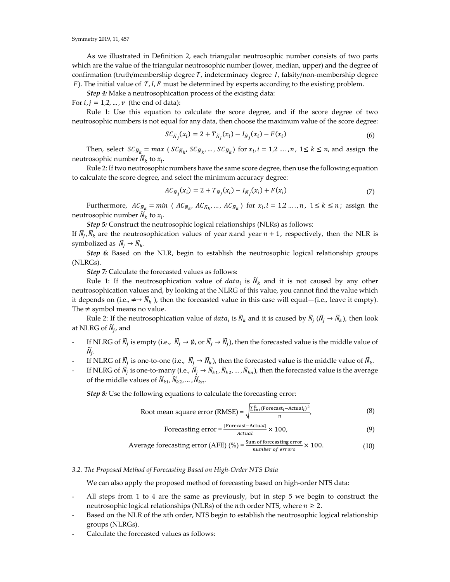As we illustrated in Definition 2, each triangular neutrosophic number consists of two parts which are the value of the triangular neutrosophic number (lower, median, upper) and the degree of confirmation (truth/membership degree  $T$ , indeterminacy degree  $I$ , falsity/non-membership degree  $F$ ). The initial value of  $T, I, F$  must be determined by experts according to the existing problem.

*Step 4:* Make a neutrosophication process of the existing data: For  $i, j = 1, 2, ..., v$  (the end of data):

Rule 1: Use this equation to calculate the score degree, and if the score degree of two neutrosophic numbers is not equal for any data, then choose the maximum value of the score degree:

$$
SC_{\tilde{N}_j}(x_i) = 2 + T_{\tilde{N}_j}(x_i) - I_{\tilde{N}_j}(x_i) - F(x_i)
$$
\n(6)

Then, select  $SC_{\tilde{N}_k} = max ( SC_{\tilde{N}_k}$ ,  $SC_{\tilde{N}_k}$ , ...,  $SC_{\tilde{N}_k}$  for  $x_i, i = 1,2,...,n$ ,  $1 \le k \le n$ , and assign the neutrosophic number  $\widetilde{N}_k$  to  $x_i$ .

Rule 2: If two neutrosophic numbers have the same score degree, then use the following equation to calculate the score degree, and select the minimum accuracy degree:

$$
AC_{\widetilde{N}_j}(x_i) = 2 + T_{\widetilde{N}_j}(x_i) - I_{\widetilde{N}_j}(x_i) + F(x_i)
$$
\n<sup>(7)</sup>

Furthermore,  $AC_{\tilde{N}_k} = min (AC_{\tilde{N}_k}, AC_{\tilde{N}_k}, ..., AC_{\tilde{N}_k})$  for  $x_i, i = 1,2,...,n$ ,  $1 \le k \le n$ ; assign the neutrosophic number  $\widetilde{N}_k$  to  $x_i$ .

*Step 5:* Construct the neutrosophic logical relationships (NLRs) as follows:

If  $\tilde{N}_i$ ,  $\tilde{N}_k$  are the neutrosophication values of year *n* and year  $n + 1$ , respectively, then the NLR is symbolized as  $\tilde{N}_i \rightarrow \tilde{N}_k$ .

*Step 6:* Based on the NLR, begin to establish the neutrosophic logical relationship groups (NLRGs).

*Step 7:* Calculate the forecasted values as follows:

Rule 1: If the neutrosophication value of  $data_i$  is  $\tilde{N}_k$  and it is not caused by any other neutrosophication values and, by looking at the NLRG of this value, you cannot find the value which it depends on (i.e.,  $\neq \rightarrow \tilde{N}_k$ ), then the forecasted value in this case will equal—(i.e., leave it empty). The  $\neq$  symbol means no value.

Rule 2: If the neutrosophication value of *data<sub>i</sub>* is  $\tilde{N}_k$  and it is caused by  $\tilde{N}_j$  ( $\tilde{N}_j \to \tilde{N}_k$ ), then look at NLRG of  $\tilde{N}_i$ , and

- If NLRG of  $\tilde{N}_i$  is empty (i.e.,  $\tilde{N}_i \rightarrow \emptyset$ , or  $\tilde{N}_i \rightarrow \tilde{N}_i$ ), then the forecasted value is the middle value of  $\widetilde{N}_j$ .
- If NLRG of  $\widetilde{N}_i$  is one-to-one (i.e.,  $\widetilde{N}_i \to \widetilde{N}_k$ ), then the forecasted value is the middle value of  $\widetilde{N}_k$ .
- If NLRG of  $\widetilde{N}_j$  is one-to-many (i.e.,  $\widetilde{N}_j \to \widetilde{N}_{k1}$ ,  $\widetilde{N}_{k2}$ , ...,  $\widetilde{N}_{kn}$ ), then the forecasted value is the average of the middle values of  $\widetilde{N}_{k1}$ ,  $\widetilde{N}_{k2}$ , ...,  $\widetilde{N}_{kn}$ .

*Step 8:* Use the following equations to calculate the forecasting error:

Root mean square error (RMSE) = 
$$
\sqrt{\frac{\sum_{i=1}^{n}(\text{forecast}_i - \text{Actual}_i)^2}{n}},
$$
 (8)

Forecasting error = 
$$
\frac{|\text{Forecast-Actual}|}{\text{Actual}} \times 100,
$$
 (9)

Average forecasting error (AFE) (%) = 
$$
\frac{\text{Sum of forecasting error}}{\text{number of errors}} \times 100. \tag{10}
$$

# *3.2. The Proposed Method of Forecasting Based on High-Order NTS Data*

We can also apply the proposed method of forecasting based on high-order NTS data:

- All steps from 1 to 4 are the same as previously, but in step 5 we begin to construct the neutrosophic logical relationships (NLRs) of the *n*th order NTS, where  $n \ge 2$ .
- Based on the NLR of the nth order, NTS begin to establish the neutrosophic logical relationship groups (NLRGs).
- Calculate the forecasted values as follows: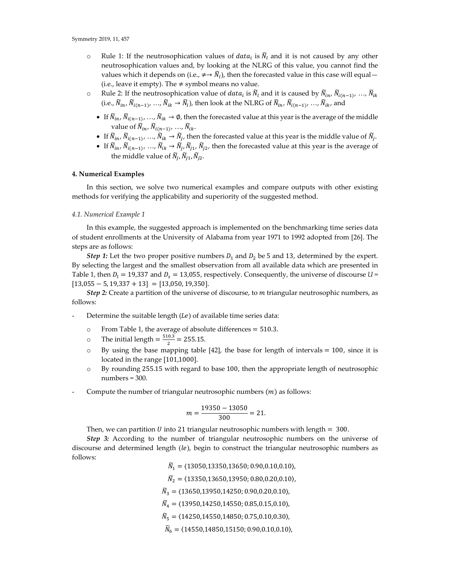- $\circ$  Rule 1: If the neutrosophication values of data<sub>i</sub> is  $\tilde{N}_l$  and it is not caused by any other neutrosophication values and, by looking at the NLRG of this value, you cannot find the values which it depends on (i.e.,  $\neq \delta$ ), then the forecasted value in this case will equal— (i.e., leave it empty). The  $\neq$  symbol means no value.
- $\circ$  Rule 2: If the neutrosophication value of *data<sub>i</sub>* is  $\tilde{N}_l$  and it is caused by  $\tilde{N}_{in}$ ,  $\tilde{N}_{i(n-1)}$ , …,  $\tilde{N}_{ik}$ (i.e.,  $\widetilde{N}_{in}$ ,  $\widetilde{N}_{i(n-1)}$ , …,  $\widetilde{N}_{ik}$   $\rightarrow$   $\widetilde{N}_{l}$ ), then look at the NLRG of  $\widetilde{N}_{in}$ ,  $\widetilde{N}_{i(n-1)}$ , …,  $\widetilde{N}_{ik}$ , and
	- If  $\widetilde{N}_{in}$ ,  $\widetilde{N}_{i(n-1)}$ , …,  $\widetilde{N}_{ik}$   $\rightarrow$   $\emptyset$ , then the forecasted value at this year is the average of the middle value of  $\widetilde{N}_{in}$ ,  $\widetilde{N}_{i(n-1)}$ , ...,  $\widetilde{N}_{ik}$ .
	- If  $\widetilde{N}_{in}$ ,  $\widetilde{N}_{i(n-1)}, \ldots, \widetilde{N}_{ik} \to \widetilde{N}_i$ , then the forecasted value at this year is the middle value of  $\widetilde{N}_i$ .
	- If  $\widetilde{N}_{in}$ ,  $\widetilde{N}_{i(n-1)}$ , …,  $\widetilde{N}_{ik}$   $\rightarrow$   $\widetilde{N}_j$ ,  $\widetilde{N}_{j1}$ ,  $\widetilde{N}_{j2}$ , then the forecasted value at this year is the average of the middle value of  $\widetilde{N}_i$ ,  $\widetilde{N}_{i1}$ ,  $\widetilde{N}_{i2}$ .

#### **4. Numerical Examples**

In this section, we solve two numerical examples and compare outputs with other existing methods for verifying the applicability and superiority of the suggested method.

#### *4.1. Numerical Example 1*

In this example, the suggested approach is implemented on the benchmarking time series data of student enrollments at the University of Alabama from year 1971 to 1992 adopted from [26]. The steps are as follows:

*Step 1:* Let the two proper positive numbers  $D_1$  and  $D_2$  be 5 and 13, determined by the expert. By selecting the largest and the smallest observation from all available data which are presented in Table 1, then  $D_l = 19,337$  and  $D_s = 13,055$ , respectively. Consequently, the universe of discourse  $U =$  $[13,055 - 5, 19,337 + 13] = [13,050, 19,350].$ 

*Step 2: Create a partition of the universe of discourse, to m triangular neutrosophic numbers, as* follows:

- Determine the suitable length  $(Le)$  of available time series data:
	- $\circ$  From Table 1, the average of absolute differences = 510.3.
	- o The initial length  $=$   $\frac{510.3}{2}$   $=$  255.15.
	- $\circ$  By using the base mapping table [42], the base for length of intervals = 100, since it is located in the range [101,1000].
	- o By rounding 255.15 with regard to base 100, then the appropriate length of neutrosophic numbers = 300.
- Compute the number of triangular neutrosophic numbers  $(m)$  as follows:

$$
m = \frac{19350 - 13050}{300} = 21.
$$

Then, we can partition *U* into 21 triangular neutrosophic numbers with length =  $300$ .

*Step 3:* According to the number of triangular neutrosophic numbers on the universe of discourse and determined length  $(le)$ , begin to construct the triangular neutrosophic numbers as follows:

> $\widetilde{N}_1 = \langle 13050, 13350, 13650; 0.90, 0.10, 0.10 \rangle$  $\widetilde{N}_2 = \langle 13350, 13650, 13950; 0.80, 0.20, 0.10 \rangle$  $\widetilde{N}_3 = \langle 13650, 13950, 14250, 0.90, 0.20, 0.10 \rangle$  $\widetilde{N}_4 = \langle 13950, 14250, 14550; 0.85, 0.15, 0.10 \rangle$  $\widetilde{N}_5 = \langle 14250, 14550, 14850, 0.75, 0.10, 0.30 \rangle$ ,  $\widetilde{N}_6 = \langle 14550, 14850, 15150, 0.90, 0.10, 0.10 \rangle$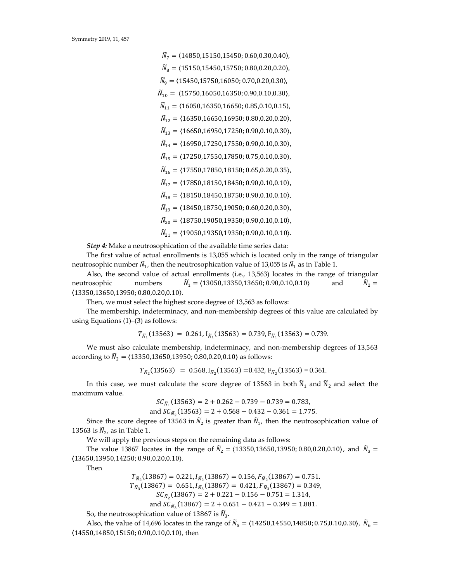$$
\widetilde{N}_7 = \langle 14850, 15150, 15450, 0.60, 0.30, 0.40 \rangle, \n\widetilde{N}_8 = \langle 15150, 15450, 15750, 0.80, 0.20, 0.20 \rangle, \n\widetilde{N}_9 = \langle 15450, 15750, 16050, 0.70, 0.20, 0.30 \rangle, \n\widetilde{N}_{10} = \langle 15750, 16050, 16350, 0.90, 0.10, 0.30 \rangle, \n\widetilde{N}_{11} = \langle 16050, 16350, 16650, 0.85, 0.10, 0.15 \rangle, \n\widetilde{N}_{12} = \langle 16350, 16650, 16950, 0.80, 0.20, 0.20 \rangle, \n\widetilde{N}_{13} = \langle 16650, 16950, 17250, 0.90, 0.10, 0.30 \rangle, \n\widetilde{N}_{14} = \langle 16950, 17250, 17550, 0.90, 0.10, 0.30 \rangle, \n\widetilde{N}_{15} = \langle 17250, 17550, 17850, 0.75, 0.10, 0.30 \rangle, \n\widetilde{N}_{16} = \langle 17550, 17850, 18150, 0.65, 0.20, 0.35 \rangle, \n\widetilde{N}_{17} = \langle 17850, 18150, 18450, 0.90, 0.10, 0.10 \rangle, \n\widetilde{N}_{18} = \langle 18150, 18450, 18750, 0.90, 0.10, 0.10 \rangle, \n\widetilde{N}_{19} = \langle 18450, 18750, 19050, 0.60, 0.20, 0.30 \rangle, \n\widetilde{N}_{20} = \
$$

*Step 4:* Make a neutrosophication of the available time series data:

The first value of actual enrollments is 13,055 which is located only in the range of triangular neutrosophic number  $\tilde{N}_1$ , then the neutrosophication value of 13,055 is  $\tilde{N}_1$  as in Table 1.

Also, the second value of actual enrollments (i.e., 13,563) locates in the range of triangular neutrosophic numbers  $\tilde{N}_1 = \langle 13050, 13350, 13650; 0.90, 0.10, 0.10 \rangle$  and  $\tilde{N}_2 =$ 〈13350,13650,13950; 0.80,0.20,0.10〉.

Then, we must select the highest score degree of 13,563 as follows:

The membership, indeterminacy, and non-membership degrees of this value are calculated by using Equations (1)–(3) as follows:

$$
T_{\tilde{N}_1}(13563) = 0.261, I_{\tilde{N}_1}(13563) = 0.739, F_{\tilde{N}_1}(13563) = 0.739.
$$

We must also calculate membership, indeterminacy, and non-membership degrees of 13,563 according to  $\widetilde{N}_2$  = (13350,13650,13950; 0.80,0.20,0.10) as follows:

 $T_{\tilde{N}_2}(13563) = 0.568$ ,  $I_{\tilde{N}_2}(13563) = 0.432$ ,  $F_{\tilde{N}_2}(13563) = 0.361$ .

In this case, we must calculate the score degree of 13563 in both  $\tilde{N}_1$  and  $\tilde{N}_2$  and select the maximum value.

$$
SC_{\tilde{N}_1}(13563) = 2 + 0.262 - 0.739 - 0.739 = 0.783,
$$
  
and 
$$
SC_{\tilde{N}_2}(13563) = 2 + 0.568 - 0.432 - 0.361 = 1.775.
$$

Since the score degree of 13563 in  $\tilde{N}_2$  is greater than  $\tilde{N}_1$ , then the neutrosophication value of 13563 is  $\tilde{N}_2$ , as in Table 1.

We will apply the previous steps on the remaining data as follows:

The value 13867 locates in the range of  $\tilde{N}_2 = \langle 13350, 13650, 13950, 0.80, 0.20, 0.10 \rangle$ , and  $\tilde{N}_3 =$ 〈13650,13950,14250; 0.90,0.20,0.10〉.

Then

$$
T_{\tilde{N}_2}(13867) = 0.221, I_{\tilde{N}_2}(13867) = 0.156, F_{\tilde{N}_2}(13867) = 0.751.
$$
  
\n
$$
T_{\tilde{N}_3}(13867) = 0.651, I_{\tilde{N}_3}(13867) = 0.421, F_{\tilde{N}_3}(13867) = 0.349,
$$
  
\n
$$
SC_{\tilde{N}_2}(13867) = 2 + 0.221 - 0.156 - 0.751 = 1.314,
$$
  
\nand 
$$
SC_{\tilde{N}_3}(13867) = 2 + 0.651 - 0.421 - 0.349 = 1.881.
$$

So, the neutrosophication value of 13867 is  $\widetilde{N}_3$ .

Also, the value of 14,696 locates in the range of  $\tilde{N}_5 = \langle 14250, 14550, 14850, 0.75, 0.10, 0.30 \rangle$ ,  $\tilde{N}_6 =$ 〈14550,14850,15150; 0.90,0.10,0.10〉, then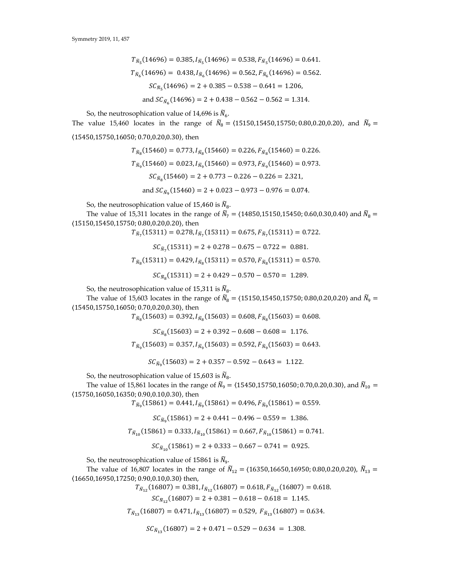$$
T_{\bar{N}_5}(14696) = 0.385, I_{\bar{N}_5}(14696) = 0.538, F_{\bar{N}_5}(14696) = 0.641.
$$
  
\n
$$
T_{\bar{N}_6}(14696) = 0.438, I_{\bar{N}_6}(14696) = 0.562, F_{\bar{N}_6}(14696) = 0.562.
$$
  
\n
$$
SC_{\bar{N}_5}(14696) = 2 + 0.385 - 0.538 - 0.641 = 1.206,
$$
  
\nand 
$$
SC_{\bar{N}_6}(14696) = 2 + 0.438 - 0.562 - 0.562 = 1.314.
$$

So, the neutrosophication value of 14,696 is  $\widetilde{N}_6$ .

The value 15,460 locates in the range of  $\tilde{N}_8 = \langle 15150, 15450, 15750, 0.80, 0.20, 0.20 \rangle$ , and  $\tilde{N}_9 =$ 

〈15450,15750,16050; 0.70,0.20,0.30〉, then

 $T_{\tilde{N}_0}(15460) = 0.773, I_{\tilde{N}_B}(15460) = 0.226, F_{\tilde{N}_B}(15460) = 0.226.$  $T_{\tilde{N}_{Q}}(15460) = 0.023, I_{\tilde{N}_{Q}}(15460) = 0.973, F_{\tilde{N}_{Q}}(15460) = 0.973.$  $SC_{N_0}(15460) = 2 + 0.773 - 0.226 - 0.226 = 2.321$ and  $SC_{\tilde{N}_0}(15460) = 2 + 0.023 - 0.973 - 0.976 = 0.074$ .

So, the neutrosophication value of 15,460 is  $\tilde{N}_8$ .

The value of 15,311 locates in the range of  $\tilde{N}_7$  = (14850,15150,15450; 0.60,0.30,0.40) and  $\tilde{N}_8$  = 〈15150,15450,15750; 0.80,0.20,0.20〉, then

$$
T_{\tilde{N}_7}(15311) = 0.278, I_{\tilde{N}_7}(15311) = 0.675, F_{\tilde{N}_7}(15311) = 0.722.
$$

$$
SC_{\bar{N}_7}(15311) = 2 + 0.278 - 0.675 - 0.722 = 0.881.
$$
  

$$
T_{\bar{N}_8}(15311) = 0.429, I_{\bar{N}_8}(15311) = 0.570, F_{\bar{N}_8}(15311) = 0.570.
$$
  

$$
SC_{\bar{N}_8}(15311) = 2 + 0.429 - 0.570 - 0.570 = 1.289.
$$

So, the neutrosophication value of 15,311 is  $\widetilde{N}_8$ .

The value of 15,603 locates in the range of  $\widetilde{N}_8 = \langle 15150, 15450, 15750, 0.80, 0.20, 0.20 \rangle$  and  $\widetilde{N}_9 =$ 〈15450,15750,16050; 0.70,0.20,0.30〉, then

 $T_{\tilde{N}_8}(15603) = 0.392, I_{\tilde{N}_8}(15603) = 0.608, F_{\tilde{N}_8}(15603) = 0.608.$ 

$$
SC_{\tilde{N}_8}(15603) = 2 + 0.392 - 0.608 - 0.608 = 1.176.
$$
  

$$
T_{\tilde{N}_9}(15603) = 0.357, I_{\tilde{N}_9}(15603) = 0.592, F_{\tilde{N}_9}(15603) = 0.643.
$$

 $SC_{\tilde{N}_{0}}(15603) = 2 + 0.357 - 0.592 - 0.643 = 1.122.$ 

So, the neutrosophication value of 15,603 is  $\widetilde{N}_8$ .

The value of 15,861 locates in the range of  $\tilde{N}_9 = (15450, 15750, 16050; 0.70, 0.20, 0.30)$ , and  $\tilde{N}_{10} =$ 〈15750,16050,16350; 0.90,0.10,0.30〉, then

 $T_{\tilde{N}_9}(15861) = 0.441, I_{\tilde{N}_9}(15861) = 0.496, F_{\tilde{N}_9}(15861) = 0.559.$ 

$$
SC_{\widetilde{N}_9}(15861) = 2 + 0.441 - 0.496 - 0.559 = 1.386.
$$

 $T_{\tilde{N}_{10}}(15861) = 0.333, I_{\tilde{N}_{10}}(15861) = 0.667, F_{\tilde{N}_{10}}(15861) = 0.741.$ 

$$
SC_{\tilde{N}_{10}}(15861) = 2 + 0.333 - 0.667 - 0.741 = 0.925.
$$

So, the neutrosophication value of 15861 is  $\tilde{N}_9$ .

The value of 16,807 locates in the range of  $\tilde{N}_{12} = \langle 16350, 16650, 16950, 0.80, 0.20, 0.20 \rangle$ ,  $\tilde{N}_{13} =$ 〈16650,16950,17250; 0.90,0.10,0.30〉 then,

> $T_{\tilde{N}_{12}}(16807) = 0.381, I_{\tilde{N}_{12}}(16807) = 0.618, F_{\tilde{N}_{12}}(16807) = 0.618.$  $SC_{\tilde{N}_{12}}(16807) = 2 + 0.381 - 0.618 - 0.618 = 1.145.$

 $T_{\bar{N}_{13}}(16807) = 0.471, I_{\bar{N}_{13}}(16807) = 0.529, F_{\bar{N}_{13}}(16807) = 0.634.$ 

 $SC_{\tilde{N}_{13}}(16807) = 2 + 0.471 - 0.529 - 0.634 = 1.308.$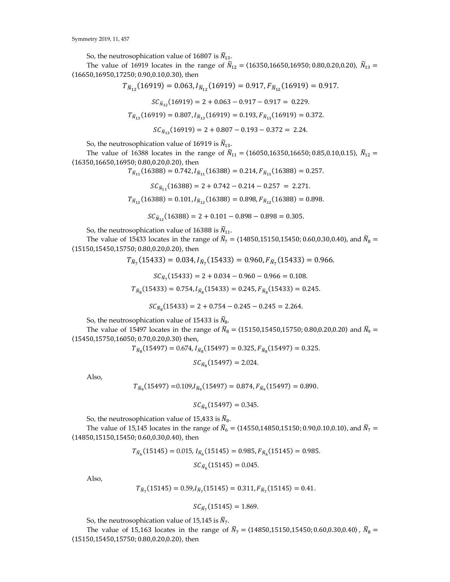So, the neutrosophication value of 16807 is  $\widetilde{N}_{13}$ .

The value of 16919 locates in the range of  $\bar{N}_{12} = \langle 16350, 16650, 16950, 0.80, 0.20, 0.20 \rangle$ ,  $\bar{N}_{13} =$ 〈16650,16950,17250; 0.90,0.10,0.30〉, then

 $T_{\tilde{N}_{12}}(16919) = 0.063, I_{\tilde{N}_{12}}(16919) = 0.917, F_{\tilde{N}_{12}}(16919) = 0.917.$ 

$$
SC_{\tilde{N}_{12}}(16919) = 2 + 0.063 - 0.917 - 0.917 = 0.229.
$$

 $T_{\bar{N}_{13}}(16919) = 0.807, I_{\bar{N}_{13}}(16919) = 0.193, F_{\bar{N}_{13}}(16919) = 0.372.$ 

$$
SC_{\widetilde{N}_{13}}(16919) = 2 + 0.807 - 0.193 - 0.372 = 2.24.
$$

So, the neutrosophication value of 16919 is  $\widetilde{N}_{13}$ .

The value of 16388 locates in the range of  $\tilde{N}_{11} = \langle 16050, 16350, 16650, 0.85, 0.10, 0.15 \rangle$ ,  $\tilde{N}_{12} =$ 〈16350,16650,16950; 0.80,0.20,0.20〉, then

 $T_{\tilde{N}_{11}}(16388) = 0.742, I_{\tilde{N}_{11}}(16388) = 0.214, F_{\tilde{N}_{11}}(16388) = 0.257.$ 

$$
SC_{\tilde{N}_{11}}(16388) = 2 + 0.742 - 0.214 - 0.257 = 2.271.
$$

 $T_{\tilde{N}_{12}}(16388) = 0.101, I_{\tilde{N}_{12}}(16388) = 0.898, F_{\tilde{N}_{12}}(16388) = 0.898.$ 

 $SC_{\tilde{N}_{12}}(16388) = 2 + 0.101 - 0.898 - 0.898 = 0.305.$ 

So, the neutrosophication value of 16388 is  $\widetilde{N}_{11}$ .

The value of 15433 locates in the range of  $\tilde{N}_7 = \langle 14850, 15150, 15450, 0.60, 0.30, 0.40 \rangle$ , and  $\tilde{N}_8 =$ 〈15150,15450,15750; 0.80,0.20,0.20〉, then

$$
T_{\widetilde{N}_7}(15433) = 0.034, I_{\widetilde{N}_7}(15433) = 0.960, F_{\widetilde{N}_7}(15433) = 0.966.
$$

 $SC_{\tilde{N}_7}(15433) = 2 + 0.034 - 0.960 - 0.966 = 0.108.$ 

 $T_{\tilde{N}_8}(15433) = 0.754, I_{\tilde{N}_8}(15433) = 0.245, F_{\tilde{N}_8}(15433) = 0.245.$ 

$$
SC_{\tilde{N}_8}(15433) = 2 + 0.754 - 0.245 - 0.245 = 2.264.
$$

So, the neutrosophication value of 15433 is  $\widetilde{N}_8$ .

The value of 15497 locates in the range of  $\widetilde{N}_8 = (15150, 15450, 15750; 0.80, 0.20, 0.20)$  and  $\widetilde{N}_9 =$ 〈15450,15750,16050; 0.70,0.20,0.30〉 then,

$$
T_{\tilde{N}_8}(15497) = 0.674, I_{\tilde{N}_8}(15497) = 0.325, F_{\tilde{N}_8}(15497) = 0.325.
$$

$$
SC_{\tilde{N}_8}(15497) = 2.024.
$$

Also,

$$
T_{\widetilde{N}_9}(15497) = 0.109, I_{\widetilde{N}_9}(15497) = 0.874, F_{\widetilde{N}_9}(15497) = 0.890.
$$

$$
SC_{\tilde{N}_9}(15497) = 0.345.
$$

So, the neutrosophication value of 15,433 is  $\tilde{N}_8$ .

The value of 15,145 locates in the range of  $\widetilde{N}_6 = \langle 14550, 14850, 15150, 0.90, 0.10, 0.10 \rangle$ , and  $\widetilde{N}_7 =$ 〈14850,15150,15450; 0.60,0.30,0.40〉, then

$$
T_{\tilde{N}_6}(15145) = 0.015, I_{\tilde{N}_6}(15145) = 0.985, F_{\tilde{N}_6}(15145) = 0.985.
$$

$$
SC_{\tilde{N}_6}(15145) = 0.045.
$$

Also,

$$
T_{\tilde{N}_7}(15145) = 0.59, I_{\tilde{N}_7}(15145) = 0.311, F_{\tilde{N}_7}(15145) = 0.41.
$$

$$
SC_{\tilde{N}_7}(15145) = 1.869.
$$

So, the neutrosophication value of 15,145 is  $\widetilde{N}_7$ .

The value of 15,163 locates in the range of  $\tilde{N}_7 = \langle 14850, 15150, 15450, 0.60, 0.30, 0.40 \rangle$ ,  $\tilde{N}_8 =$ 〈15150,15450,15750; 0.80,0.20,0.20〉, then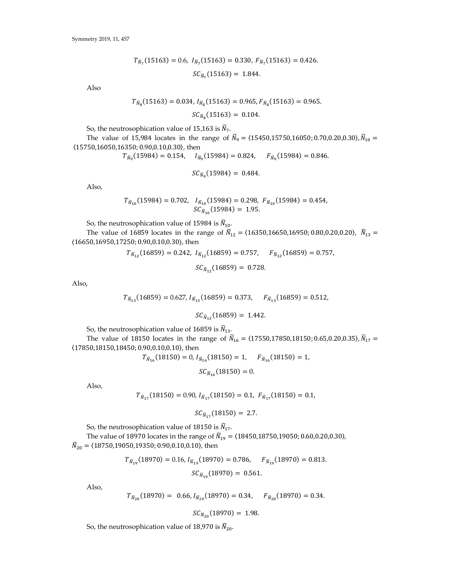$$
T_{\tilde{N}_7}(15163) = 0.6, I_{\tilde{N}_7}(15163) = 0.330, F_{\tilde{N}_7}(15163) = 0.426.
$$
  

$$
SC_{\tilde{N}_7}(15163) = 1.844.
$$

Also

$$
T_{\bar{N}_8}(15163) = 0.034, I_{\bar{N}_8}(15163) = 0.965, F_{\bar{N}_8}(15163) = 0.965.
$$
  

$$
SC_{\bar{N}_8}(15163) = 0.104.
$$

So, the neutrosophication value of 15,163 is  $\tilde{N}_7$ .

The value of 15,984 locates in the range of  $\widetilde{N}_9 = \langle 15450, 15750, 16050, 0.70, 0.20, 0.30 \rangle$ ,  $\widetilde{N}_{10} =$ 〈15750,16050,16350; 0.90,0.10,0.30〉, then

 $T_{\tilde{N}_9}(15984) = 0.154$ ,  $I_{\tilde{N}_9}(15984) = 0.824$ ,  $F_{\tilde{N}_9}(15984) = 0.846$ .

$$
SC_{\widetilde{N}_9}(15984) = 0.484.
$$

Also,

$$
T_{\tilde{N}_{10}}(15984) = 0.702, I_{\tilde{N}_{10}}(15984) = 0.298, F_{\tilde{N}_{10}}(15984) = 0.454,
$$
  

$$
SC_{\tilde{N}_{10}}(15984) = 1.95.
$$

So, the neutrosophication value of 15984 is  $\widetilde{N}_{10}$ .

The value of 16859 locates in the range of  $\tilde{N}_{12} = \langle 16350, 16650, 16950, 0.80, 0.20, 0.20 \rangle$ ,  $\tilde{N}_{13} =$ 〈16650,16950,17250; 0.90,0.10,0.30〉, then

$$
T_{\tilde{N}_{12}}(16859) = 0.242, I_{\tilde{N}_{12}}(16859) = 0.757, F_{\tilde{N}_{12}}(16859) = 0.757,
$$
  

$$
SC_{\tilde{N}_{12}}(16859) = 0.728.
$$

Also,

$$
T_{\tilde{N}_{13}}(16859) = 0.627, I_{\tilde{N}_{13}}(16859) = 0.373, \quad F_{\tilde{N}_{13}}(16859) = 0.512,
$$

$$
SC_{\bar{N}_{13}}(16859) = 1.442.
$$

So, the neutrosophication value of 16859 is  $\widetilde{N}_{13}$ .

The value of 18150 locates in the range of  $\tilde{N}_{16} = \langle 17550, 17850, 18150, 0.65, 0.20, 0.35 \rangle$ ,  $\tilde{N}_{17} =$ 〈17850,18150,18450; 0.90,0.10,0.10〉, then

$$
T_{\tilde{N}_{16}}(18150) = 0, I_{\tilde{N}_{16}}(18150) = 1, \quad F_{\tilde{N}_{16}}(18150) = 1,
$$
  

$$
SC_{\tilde{N}_{16}}(18150) = 0.
$$

Also,

$$
T_{\tilde{N}_{17}}(18150)=0.90, I_{\tilde{N}_{17}}(18150)=0.1, \; F_{\tilde{N}_{17}}(18150)=0.1
$$

$$
SC_{\tilde{N}_{17}}(18150) = 2.7.
$$

So, the neutrosophication value of 18150 is  $\widetilde{N}_{17}$ .

The value of 18970 locates in the range of  $\widetilde{N}_{19} = \langle 18450, 18750, 19050; 0.60, 0.20, 0.30 \rangle$ ,  $\widetilde{N}_{20} = \langle 18750, 19050, 19350; 0.90, 0.10, 0.10 \rangle$ , then

$$
T_{\tilde{N}_{19}}(18970) = 0.16, I_{\tilde{N}_{19}}(18970) = 0.786, \quad F_{\tilde{N}_{19}}(18970) = 0.813.
$$

$$
SC_{\tilde{N}_{19}}(18970) = 0.561.
$$

Also,

$$
T_{\widetilde{N}_{20}}(18970) = 0.66, I_{\widetilde{N}_{20}}(18970) = 0.34, \quad F_{\widetilde{N}_{20}}(18970) = 0.34.
$$

$$
SC_{\bar{N}_{20}}(18970) = 1.98.
$$

So, the neutrosophication value of 18,970 is  $\widetilde{N}_{20}$ .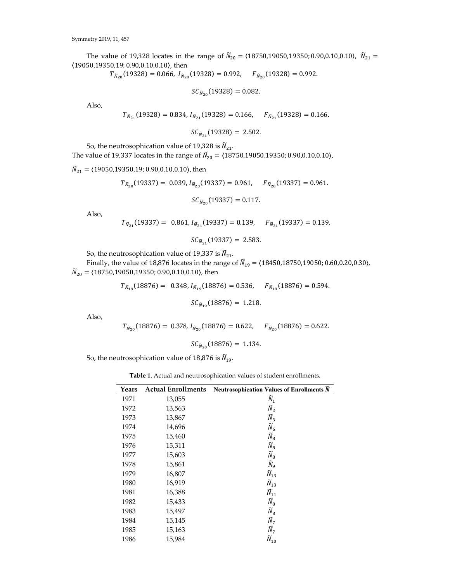The value of 19,328 locates in the range of  $\tilde{N}_{20} = \langle 18750, 19050, 19350, 0.90, 0.10, 0.10 \rangle$ ,  $\tilde{N}_{21} =$ 〈19050,19350,19; 0.90,0.10,0.10〉, then

$$
T_{\tilde{N}_{20}}(19328) = 0.066, I_{\tilde{N}_{20}}(19328) = 0.992, F_{\tilde{N}_{20}}(19328) = 0.992.
$$

$$
SC_{\tilde{N}_{20}}(19328) = 0.082.
$$

Also,

$$
T_{\widetilde{N}_{21}}(19328) = 0.834, I_{\widetilde{N}_{21}}(19328) = 0.166, \quad F_{\widetilde{N}_{21}}(19328) = 0.166.
$$

$$
SC_{\bar{N}_{21}}(19328) = 2.502.
$$

So, the neutrosophication value of 19,328 is  $\widetilde{N}_{21}$ . The value of 19,337 locates in the range of  $\widetilde{N}_{20} = \langle 18750, 19050, 19350; 0.90, 0.10, 0.10 \rangle$ ,

 $\widetilde{N}_{21} = \langle 19050, 19350, 19; 0.90, 0.10, 0.10 \rangle$ , then

$$
T_{\tilde{N}_{20}}(19337) = 0.039, I_{\tilde{N}_{20}}(19337) = 0.961, \quad F_{\tilde{N}_{20}}(19337) = 0.961.
$$

$$
SC_{\tilde{N}_{20}}(19337) = 0.117.
$$

Also,

$$
T_{\tilde{N}_{21}}(19337) = 0.861, I_{\tilde{N}_{21}}(19337) = 0.139, \quad F_{\tilde{N}_{21}}(19337) = 0.139.
$$

$$
SC_{\widetilde{N}_{21}}(19337) = 2.583.
$$

So, the neutrosophication value of 19,337 is  $\widetilde{N}_{21}$ .

Finally, the value of 18,876 locates in the range of  $\widetilde{N}_{19} = \langle 18450, 18750, 19050; 0.60, 0.20, 0.30 \rangle$ ,  $\widetilde{N}_{20} = \langle 18750, 19050, 19350; 0.90, 0.10, 0.10 \rangle$ , then

> $T_{\tilde{N}_{19}}(18876) = 0.348, I_{\tilde{N}_{19}}(18876) = 0.536, \quad F_{\tilde{N}_{19}}(18876) = 0.594.$  $SC_{\tilde{N}_{19}}(18876) = 1.218.$

Also,

$$
T_{\tilde{N}_{20}}(18876) = 0.378, I_{\tilde{N}_{20}}(18876) = 0.622, \quad F_{\tilde{N}_{20}}(18876) = 0.622.
$$

 $SC_{\tilde{N}_{20}}(18876) = 1.134.$ 

So, the neutrosophication value of 18,876 is  $\widetilde{N}_{19}$ .

**Table 1.** Actual and neutrosophication values of student enrollments.

| Years | <b>Actual Enrollments</b> | Neutrosophication Values of Enrollments $\tilde{N}$ |
|-------|---------------------------|-----------------------------------------------------|
| 1971  | 13,055                    | $\widetilde{N}_1$                                   |
| 1972  | 13,563                    | $\widetilde{N}_2$                                   |
| 1973  | 13,867                    | $\widetilde{N}_3$                                   |
| 1974  | 14,696                    | $\widetilde{N}_6$                                   |
| 1975  | 15,460                    | $\widetilde{N}_8$                                   |
| 1976  | 15,311                    | $\widetilde{N}_8$                                   |
| 1977  | 15,603                    | $\widetilde{N}_8$                                   |
| 1978  | 15,861                    | $\widetilde{N}_9$                                   |
| 1979  | 16,807                    | $\widetilde{N}_{13}$                                |
| 1980  | 16,919                    | $\widetilde{N}_{13}$                                |
| 1981  | 16,388                    | $\widetilde{N}_{11}$                                |
| 1982  | 15,433                    | $\widetilde{N}_8$                                   |
| 1983  | 15,497                    | $\widetilde{N}_8$                                   |
| 1984  | 15,145                    | $\widetilde{N}_7$                                   |
| 1985  | 15,163                    | $\widetilde{N}_{7}$                                 |
| 1986  | 15,984                    | $\widetilde{N}_{10}$                                |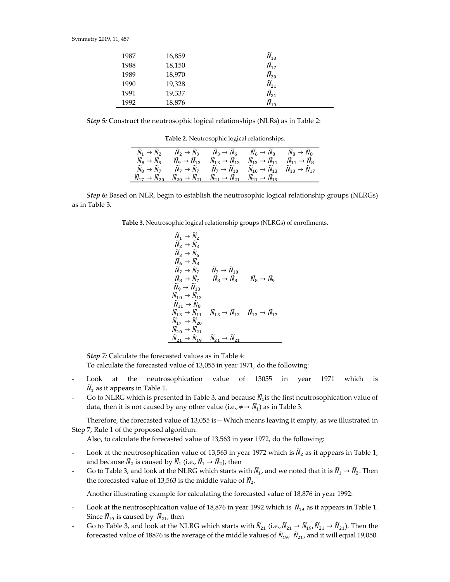| 1987 | 16,859 | $\widetilde{N}_{13}$ |
|------|--------|----------------------|
| 1988 | 18,150 | $\widetilde{N}_{17}$ |
| 1989 | 18,970 | $\widetilde{N}_{20}$ |
| 1990 | 19,328 | $\widetilde{N}_{21}$ |
| 1991 | 19,337 | $\widetilde{N}_{21}$ |
| 1992 | 18,876 | $\widetilde{N}_{19}$ |

*Step 5:* Construct the neutrosophic logical relationships (NLRs) as in Table 2:

**Table 2.** Neutrosophic logical relationships.

| $\widetilde{N}_1 \rightarrow \widetilde{N}_2$ |  | $\widetilde{N}_2 \rightarrow \widetilde{N}_3$ $\widetilde{N}_3 \rightarrow \widetilde{N}_6$ $\widetilde{N}_6 \rightarrow \widetilde{N}_8$ $\widetilde{N}_8 \rightarrow \widetilde{N}_8$                                                              |  |
|-----------------------------------------------|--|------------------------------------------------------------------------------------------------------------------------------------------------------------------------------------------------------------------------------------------------------|--|
|                                               |  |                                                                                                                                                                                                                                                      |  |
|                                               |  |                                                                                                                                                                                                                                                      |  |
| $\widetilde{N}_8 \rightarrow \widetilde{N}_9$ |  | $\widetilde{N}_9 \rightarrow \widetilde{N}_{13}$ $\widetilde{N}_{13} \rightarrow \widetilde{N}_{13}$ $\widetilde{N}_{13} \rightarrow \widetilde{N}_{11}$ $\widetilde{N}_{11} \rightarrow \widetilde{N}_{8}$                                          |  |
|                                               |  |                                                                                                                                                                                                                                                      |  |
|                                               |  | $\widetilde{N}_8 \rightarrow \widetilde{N}_7$ $\widetilde{N}_7 \rightarrow \widetilde{N}_7$ $\widetilde{N}_7 \rightarrow \widetilde{N}_{10}$ $\widetilde{N}_{10} \rightarrow \widetilde{N}_{13}$ $\widetilde{N}_{13} \rightarrow \widetilde{N}_{17}$ |  |
|                                               |  |                                                                                                                                                                                                                                                      |  |
|                                               |  | $\widetilde{N}_{17} \rightarrow \widetilde{N}_{20}$ $\widetilde{N}_{20} \rightarrow \widetilde{N}_{21}$ $\widetilde{N}_{21} \rightarrow \widetilde{N}_{21}$ $\widetilde{N}_{21} \rightarrow \widetilde{N}_{19}$                                      |  |
|                                               |  |                                                                                                                                                                                                                                                      |  |

*Step 6:* Based on NLR, begin to establish the neutrosophic logical relationship groups (NLRGs) as in Table 3.

**Table 3.** Neutrosophic logical relationship groups (NLRGs) of enrollments.

 $\widetilde{N}_1 \rightarrow \widetilde{N}_2$  $\widetilde{N}_2 \rightarrow \widetilde{N}_3$  $\widetilde{N}_3 \rightarrow \widetilde{N}_6$  $\widetilde{N}_6 \rightarrow \widetilde{N}_8$  $\widetilde{N}_7 \rightarrow \widetilde{N}_7 \qquad \widetilde{N}_7 \rightarrow \widetilde{N}_{10}$  $\widetilde{N}_8 \rightarrow \widetilde{N}_7$   $\widetilde{N}_8 \rightarrow \widetilde{N}_8$   $\widetilde{N}_8 \rightarrow \widetilde{N}_9$  $\widetilde{N}_9 \rightarrow \widetilde{N}_{13}$  $\widetilde{N}_{10} \rightarrow \widetilde{N}_{13}$  $\widetilde{N}_{11} \rightarrow \widetilde{N}_{8}$  $\widetilde{N}_{13} \rightarrow \widetilde{N}_{11}$   $\widetilde{N}_{13} \rightarrow \widetilde{N}_{13}$   $\widetilde{N}_{13} \rightarrow \widetilde{N}_{17}$  $\widetilde{N}_{17} \rightarrow \widetilde{N}_{20}$  $\widetilde{N}_{20} \rightarrow \widetilde{N}_{21}$  $\widetilde{N}_{21} \rightarrow \widetilde{N}_{19}$   $\widetilde{N}_{21} \rightarrow \widetilde{N}_{21}$ 

*Step 7:* Calculate the forecasted values as in Table 4: To calculate the forecasted value of 13,055 in year 1971, do the following:

- Look at the neutrosophication value of 13055 in year 1971 which is  $\widetilde{N}_1$  as it appears in Table 1.
- Go to NLRG which is presented in Table 3, and because  $\widetilde{N}_1$  is the first neutrosophication value of data, then it is not caused by any other value (i.e.,  $\neq \rightarrow \widetilde{N}_1$ ) as in Table 3.

Therefore, the forecasted value of 13,055 is—Which means leaving it empty, as we illustrated in Step 7, Rule 1 of the proposed algorithm.

Also, to calculate the forecasted value of 13,563 in year 1972, do the following:

- Look at the neutrosophication value of 13,563 in year 1972 which is  $\tilde{N}_2$  as it appears in Table 1, and because  $\tilde{N}_2$  is caused by  $\tilde{N}_1$  (i.e.,  $\tilde{N}_1 \rightarrow \tilde{N}_2$ ), then
- Go to Table 3, and look at the NLRG which starts with  $\tilde{N}_1$ , and we noted that it is  $\tilde{N}_1 \to \tilde{N}_2$ . Then the forecasted value of 13,563 is the middle value of  $\tilde{N}_2$ .

Another illustrating example for calculating the forecasted value of 18,876 in year 1992:

- Look at the neutrosophication value of 18,876 in year 1992 which is  $\tilde{N}_{19}$  as it appears in Table 1. Since  $\widetilde{N}_{19}$  is caused by  $\widetilde{N}_{21}$ , then
- Go to Table 3, and look at the NLRG which starts with  $\tilde{N}_{21}$  (i.e.,  $\tilde{N}_{21} \to \tilde{N}_{19}$ ,  $\tilde{N}_{21} \to \tilde{N}_{21}$ ). Then the forecasted value of 18876 is the average of the middle values of  $\tilde{N}_{19}$ ,  $\tilde{N}_{21}$ , and it will equal 19,050.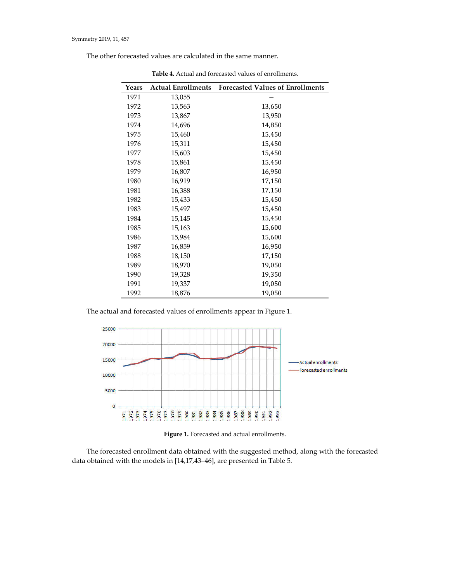$\overline{a}$ 

 $\overline{a}$ 

The other forecasted values are calculated in the same manner.

| 1971<br>13,055<br>13,650<br>1972<br>13,563<br>1973<br>13,867<br>13,950<br>1974<br>14,850<br>14,696<br>1975<br>15,460<br>15,450<br>1976<br>15,311<br>15,450<br>1977<br>15,603<br>15,450<br>1978<br>15,861<br>15,450<br>16,950<br>1979<br>16,807<br>16,919<br>17,150<br>1980<br>1981<br>16,388<br>17,150<br>1982<br>15,433<br>15,450<br>1983<br>15,497<br>15,450<br>1984<br>15,145<br>15,450<br>15,163<br>15,600<br>1985<br>1986<br>15,600<br>15,984<br>16,950<br>1987<br>16,859<br>18,150<br>17,150<br>1988<br>19,050<br>1989<br>18,970<br>19,350<br>1990<br>19,328<br>19,050<br>1991<br>19,337<br>1992<br>19,050<br>18,876 | Years | <b>Actual Enrollments</b> | <b>Forecasted Values of Enrollments</b> |
|----------------------------------------------------------------------------------------------------------------------------------------------------------------------------------------------------------------------------------------------------------------------------------------------------------------------------------------------------------------------------------------------------------------------------------------------------------------------------------------------------------------------------------------------------------------------------------------------------------------------------|-------|---------------------------|-----------------------------------------|
|                                                                                                                                                                                                                                                                                                                                                                                                                                                                                                                                                                                                                            |       |                           |                                         |
|                                                                                                                                                                                                                                                                                                                                                                                                                                                                                                                                                                                                                            |       |                           |                                         |
|                                                                                                                                                                                                                                                                                                                                                                                                                                                                                                                                                                                                                            |       |                           |                                         |
|                                                                                                                                                                                                                                                                                                                                                                                                                                                                                                                                                                                                                            |       |                           |                                         |
|                                                                                                                                                                                                                                                                                                                                                                                                                                                                                                                                                                                                                            |       |                           |                                         |
|                                                                                                                                                                                                                                                                                                                                                                                                                                                                                                                                                                                                                            |       |                           |                                         |
|                                                                                                                                                                                                                                                                                                                                                                                                                                                                                                                                                                                                                            |       |                           |                                         |
|                                                                                                                                                                                                                                                                                                                                                                                                                                                                                                                                                                                                                            |       |                           |                                         |
|                                                                                                                                                                                                                                                                                                                                                                                                                                                                                                                                                                                                                            |       |                           |                                         |
|                                                                                                                                                                                                                                                                                                                                                                                                                                                                                                                                                                                                                            |       |                           |                                         |
|                                                                                                                                                                                                                                                                                                                                                                                                                                                                                                                                                                                                                            |       |                           |                                         |
|                                                                                                                                                                                                                                                                                                                                                                                                                                                                                                                                                                                                                            |       |                           |                                         |
|                                                                                                                                                                                                                                                                                                                                                                                                                                                                                                                                                                                                                            |       |                           |                                         |
|                                                                                                                                                                                                                                                                                                                                                                                                                                                                                                                                                                                                                            |       |                           |                                         |
|                                                                                                                                                                                                                                                                                                                                                                                                                                                                                                                                                                                                                            |       |                           |                                         |
|                                                                                                                                                                                                                                                                                                                                                                                                                                                                                                                                                                                                                            |       |                           |                                         |
|                                                                                                                                                                                                                                                                                                                                                                                                                                                                                                                                                                                                                            |       |                           |                                         |
|                                                                                                                                                                                                                                                                                                                                                                                                                                                                                                                                                                                                                            |       |                           |                                         |
|                                                                                                                                                                                                                                                                                                                                                                                                                                                                                                                                                                                                                            |       |                           |                                         |
|                                                                                                                                                                                                                                                                                                                                                                                                                                                                                                                                                                                                                            |       |                           |                                         |
|                                                                                                                                                                                                                                                                                                                                                                                                                                                                                                                                                                                                                            |       |                           |                                         |
|                                                                                                                                                                                                                                                                                                                                                                                                                                                                                                                                                                                                                            |       |                           |                                         |

**Table 4.** Actual and forecasted values of enrollments.

The actual and forecasted values of enrollments appear in Figure 1.



**Figure 1.** Forecasted and actual enrollments.

The forecasted enrollment data obtained with the suggested method, along with the forecasted data obtained with the models in [14,17,43–46], are presented in Table 5.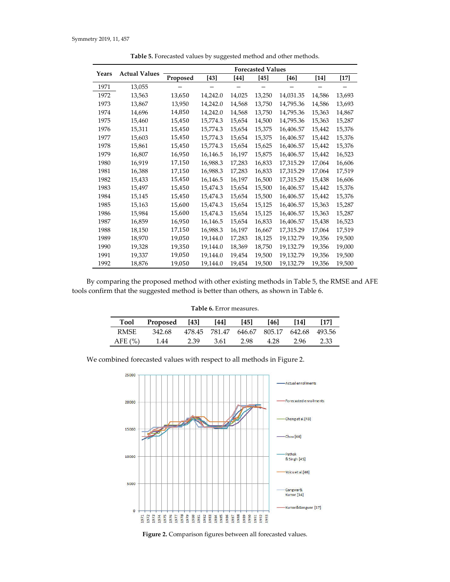|       |                      |          | <b>Forecasted Values</b> |        |        |           |        |        |
|-------|----------------------|----------|--------------------------|--------|--------|-----------|--------|--------|
| Years | <b>Actual Values</b> | Proposed | $[43]$                   | [44]   | [45]   | [46]      | $[14]$ | $[17]$ |
| 1971  | 13,055               |          |                          |        |        |           |        |        |
| 1972  | 13,563               | 13,650   | 14,242.0                 | 14,025 | 13,250 | 14,031.35 | 14,586 | 13,693 |
| 1973  | 13,867               | 13,950   | 14,242.0                 | 14,568 | 13,750 | 14,795.36 | 14,586 | 13,693 |
| 1974  | 14,696               | 14,850   | 14,242.0                 | 14.568 | 13,750 | 14.795.36 | 15,363 | 14,867 |
| 1975  | 15,460               | 15,450   | 15,774.3                 | 15,654 | 14,500 | 14,795.36 | 15,363 | 15,287 |
| 1976  | 15,311               | 15,450   | 15,774.3                 | 15,654 | 15,375 | 16,406.57 | 15,442 | 15,376 |
| 1977  | 15,603               | 15,450   | 15,774.3                 | 15,654 | 15,375 | 16,406.57 | 15,442 | 15,376 |
| 1978  | 15,861               | 15,450   | 15,774.3                 | 15,654 | 15,625 | 16,406.57 | 15,442 | 15,376 |
| 1979  | 16,807               | 16,950   | 16,146.5                 | 16,197 | 15,875 | 16,406.57 | 15,442 | 16,523 |
| 1980  | 16,919               | 17,150   | 16,988.3                 | 17,283 | 16,833 | 17,315.29 | 17,064 | 16,606 |
| 1981  | 16,388               | 17,150   | 16,988.3                 | 17,283 | 16,833 | 17,315.29 | 17,064 | 17,519 |
| 1982  | 15,433               | 15,450   | 16,146.5                 | 16,197 | 16.500 | 17.315.29 | 15,438 | 16,606 |
| 1983  | 15,497               | 15,450   | 15,474.3                 | 15,654 | 15,500 | 16,406.57 | 15,442 | 15,376 |
| 1984  | 15,145               | 15,450   | 15,474.3                 | 15,654 | 15.500 | 16,406.57 | 15,442 | 15,376 |
| 1985  | 15,163               | 15,600   | 15,474.3                 | 15,654 | 15,125 | 16,406.57 | 15,363 | 15,287 |
| 1986  | 15,984               | 15,600   | 15,474.3                 | 15,654 | 15,125 | 16,406.57 | 15,363 | 15,287 |
| 1987  | 16,859               | 16,950   | 16.146.5                 | 15.654 | 16.833 | 16,406.57 | 15.438 | 16,523 |
| 1988  | 18,150               | 17,150   | 16,988.3                 | 16,197 | 16,667 | 17,315.29 | 17,064 | 17,519 |
| 1989  | 18,970               | 19,050   | 19,144.0                 | 17,283 | 18,125 | 19,132.79 | 19,356 | 19,500 |
| 1990  | 19,328               | 19,350   | 19,144.0                 | 18,369 | 18,750 | 19,132.79 | 19,356 | 19,000 |
| 1991  | 19,337               | 19,050   | 19,144.0                 | 19,454 | 19,500 | 19,132.79 | 19,356 | 19,500 |
| 1992  | 18,876               | 19,050   | 19,144.0                 | 19,454 | 19,500 | 19,132.79 | 19,356 | 19,500 |

**Table 5.** Forecasted values by suggested method and other methods.

By comparing the proposed method with other existing methods in Table 5, the RMSE and AFE tools confirm that the suggested method is better than others, as shown in Table 6.

**Table 6.** Error measures.

|        | Tool Proposed [43] [44] |                                           |       | [45] | 1461 | 114 I | [17] |
|--------|-------------------------|-------------------------------------------|-------|------|------|-------|------|
| RMSE.  | -342.68                 | 478.45 781.47 646.67 805.17 642.68 493.56 |       |      |      |       |      |
| AFE(%) | 1.44                    | 2.39                                      | -3.61 | 2.98 | 4.28 | 2.96  | 2.33 |

We combined forecasted values with respect to all methods in Figure 2.



**Figure 2.** Comparison figures between all forecasted values.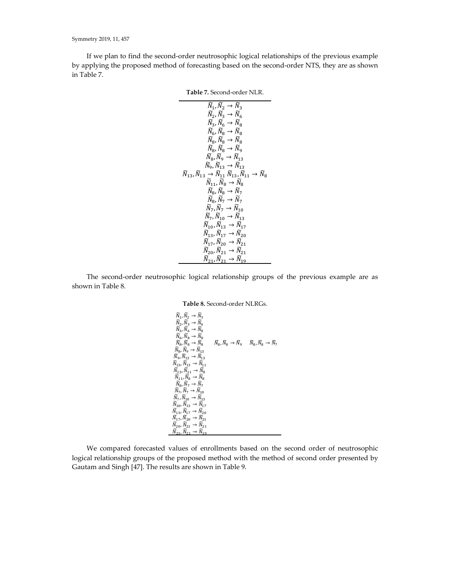Symmetry 2019, 11, 457

If we plan to find the second-order neutrosophic logical relationships of the previous example by applying the proposed method of forecasting based on the second-order NTS, they are as shown in Table 7.

| <b>Table 7.</b> Second-order NLR.                                                                                                                  |
|----------------------------------------------------------------------------------------------------------------------------------------------------|
| $\widetilde{N}_1, \widetilde{N}_2 \rightarrow \widetilde{N}_3$<br>$\widetilde{N}_2, \widetilde{N}_3 \rightarrow \widetilde{N}_6$                   |
| $\widetilde{N}_3, \widetilde{N}_6 \rightarrow \widetilde{N}_8$                                                                                     |
| $\widetilde{N}_6, \widetilde{N}_8 \rightarrow \widetilde{N}_8$                                                                                     |
| $\widetilde{N}_8, \widetilde{N}_8 \rightarrow \widetilde{N}_8$                                                                                     |
| $\widetilde{N}_8, \widetilde{N}_8 \rightarrow \widetilde{N}_9$<br>$\widetilde{N}_8, \widetilde{N}_9 \rightarrow \widetilde{N}_{13}$                |
| $\widetilde{N}_9, \widetilde{N}_{13} \rightarrow \widetilde{N}_{13}$                                                                               |
| $\widetilde{N}_{13}, \widetilde{N}_{13} \rightarrow \widetilde{N}_{11} \widetilde{N}_{13}, \widetilde{N}_{11} \rightarrow \widetilde{N}_{8}$       |
| $\widetilde{N}_{11}, \widetilde{N}_{8} \rightarrow \widetilde{N}_{8}$                                                                              |
| $\widetilde{N}_8, \widetilde{N}_8 \rightarrow \widetilde{N}_7$                                                                                     |
| $\widetilde{N}_8, \widetilde{N}_7 \rightarrow \widetilde{N}_7$                                                                                     |
| $\widetilde{N}_7, \widetilde{N}_7 \rightarrow \widetilde{N}_{10}$                                                                                  |
| $\widetilde{N}_7, \widetilde{N}_{10} \rightarrow \widetilde{N}_{13}$                                                                               |
| $\widetilde{N}_{10}, \widetilde{N}_{13} \rightarrow \widetilde{N}_{17}$                                                                            |
| $\widetilde{N}_{13}, \widetilde{N}_{17} \rightarrow \widetilde{N}_{20}$<br>$\widetilde{N}_{17}, \widetilde{N}_{20} \rightarrow \widetilde{N}_{21}$ |
| $\widetilde{N}_{20}, \widetilde{N}_{21} \rightarrow \widetilde{N}_{21}$                                                                            |
| $\widetilde{N}_{21}, \widetilde{N}_{21} \rightarrow \widetilde{N}_{19}$                                                                            |

The second-order neutrosophic logical relationship groups of the previous example are as shown in Table 8.

**Table 8.** Second-order NLRGs.

| $\widetilde{N}_1, \widetilde{N}_2 \rightarrow \widetilde{N}_3$          |                                                                |                                                                |
|-------------------------------------------------------------------------|----------------------------------------------------------------|----------------------------------------------------------------|
| $\widetilde{N}_2, \widetilde{N}_3 \to \widetilde{N}_6$                  |                                                                |                                                                |
| $\widetilde{N}_3, \widetilde{N}_6 \rightarrow \widetilde{N}_8$          |                                                                |                                                                |
| $\widetilde{N}_6, \widetilde{N}_8 \rightarrow \widetilde{N}_8$          |                                                                |                                                                |
| $\widetilde{N}_8, \widetilde{N}_8 \rightarrow \widetilde{N}_8$          | $\widetilde{N}_8, \widetilde{N}_8 \rightarrow \widetilde{N}_9$ | $\widetilde{N}_8, \widetilde{N}_8 \rightarrow \widetilde{N}_7$ |
| $\widetilde{N}_8, \widetilde{N}_9 \rightarrow \widetilde{N}_{13}$       |                                                                |                                                                |
| $\widetilde{N}_9, \widetilde{N}_{13} \rightarrow \widetilde{N}_{13}$    |                                                                |                                                                |
| $\widetilde{N}_{13}, \widetilde{N}_{13} \rightarrow \widetilde{N}_{11}$ |                                                                |                                                                |
| $\widetilde{N}_{13}, \widetilde{N}_{11} \rightarrow \widetilde{N}_{8}$  |                                                                |                                                                |
| $\widetilde{N}_{11}, \widetilde{N}_{8} \rightarrow \widetilde{N}_{8}$   |                                                                |                                                                |
| $\widetilde{N}_8, \widetilde{N}_7 \rightarrow \widetilde{N}_7$          |                                                                |                                                                |
| $\widetilde{N}_7, \widetilde{N}_7 \rightarrow \widetilde{N}_{10}$       |                                                                |                                                                |
| $\widetilde{N}_7, \widetilde{N}_{10} \rightarrow \widetilde{N}_{13}$    |                                                                |                                                                |
| $\widetilde{N}_{10}, \widetilde{N}_{13} \rightarrow \widetilde{N}_{17}$ |                                                                |                                                                |
| $\widetilde{N}_{13}, \widetilde{N}_{17} \rightarrow \widetilde{N}_{20}$ |                                                                |                                                                |
| $\widetilde{N}_{17}, \widetilde{N}_{20} \rightarrow \widetilde{N}_{21}$ |                                                                |                                                                |
| $\widetilde{N}_{20}, \widetilde{N}_{21} \rightarrow \widetilde{N}_{21}$ |                                                                |                                                                |
| $\widetilde{N}_{21}, \widetilde{N}_{21} \rightarrow \widetilde{N}_{19}$ |                                                                |                                                                |

We compared forecasted values of enrollments based on the second order of neutrosophic logical relationship groups of the proposed method with the method of second order presented by Gautam and Singh [47]. The results are shown in Table 9.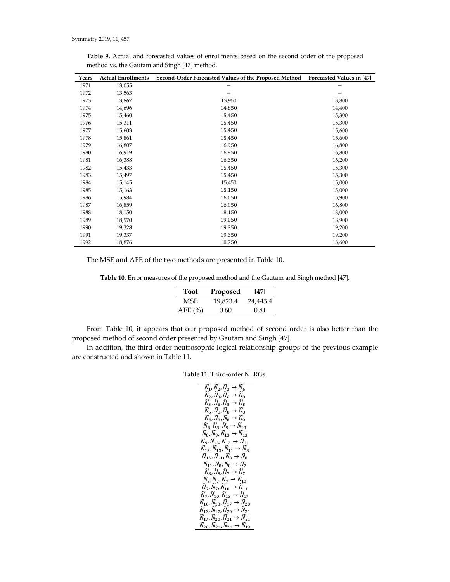| Years | <b>Actual Enrollments</b> | Second-Order Forecasted Values of the Proposed Method | Forecasted Values in [47] |
|-------|---------------------------|-------------------------------------------------------|---------------------------|
| 1971  | 13,055                    |                                                       |                           |
| 1972  | 13,563                    |                                                       |                           |
| 1973  | 13,867                    | 13,950                                                | 13,800                    |
| 1974  | 14,696                    | 14,850                                                | 14,400                    |
| 1975  | 15,460                    | 15,450                                                | 15,300                    |
| 1976  | 15,311                    | 15,450                                                | 15,300                    |
| 1977  | 15,603                    | 15,450                                                | 15,600                    |
| 1978  | 15,861                    | 15,450                                                | 15,600                    |
| 1979  | 16,807                    | 16,950                                                | 16,800                    |
| 1980  | 16,919                    | 16,950                                                | 16,800                    |
| 1981  | 16,388                    | 16,350                                                | 16,200                    |
| 1982  | 15,433                    | 15,450                                                | 15,300                    |
| 1983  | 15,497                    | 15,450                                                | 15,300                    |
| 1984  | 15,145                    | 15,450                                                | 15,000                    |
| 1985  | 15,163                    | 15,150                                                | 15,000                    |
| 1986  | 15,984                    | 16,050                                                | 15,900                    |
| 1987  | 16,859                    | 16,950                                                | 16,800                    |
| 1988  | 18,150                    | 18,150                                                | 18,000                    |
| 1989  | 18,970                    | 19,050                                                | 18,900                    |
| 1990  | 19,328                    | 19,350                                                | 19,200                    |
| 1991  | 19,337                    | 19,350                                                | 19,200                    |
| 1992  | 18,876                    | 18,750                                                | 18,600                    |

**Table 9.** Actual and forecasted values of enrollments based on the second order of the proposed method vs. the Gautam and Singh [47] method.

The MSE and AFE of the two methods are presented in Table 10.

**Table 10.** Error measures of the proposed method and the Gautam and Singh method [47].

| Tool   | Proposed | 1471     |  |
|--------|----------|----------|--|
| MSE    | 19,823.4 | 24,443.4 |  |
| AFE(%) | 0.60     | 0.81     |  |

From Table 10, it appears that our proposed method of second order is also better than the proposed method of second order presented by Gautam and Singh [47].

In addition, the third-order neutrosophic logical relationship groups of the previous example are constructed and shown in Table 11.

**Table 11.** Third-order NLRGs.

| $\widetilde{N}_1, \widetilde{N}_2, \widetilde{N}_3 \rightarrow \widetilde{N}_6$                                                                                                                         |
|---------------------------------------------------------------------------------------------------------------------------------------------------------------------------------------------------------|
| $\widetilde{N}_2, \widetilde{N}_3, \widetilde{N}_6 \rightarrow \widetilde{N}_8$                                                                                                                         |
| $\widetilde{N}_3, \widetilde{N}_6, \widetilde{N}_8 \rightarrow \widetilde{N}_8$                                                                                                                         |
| $\widetilde{N}_{6}, \widetilde{N}_{8}, \widetilde{N}_{8} \rightarrow \widetilde{N}_{8}$                                                                                                                 |
| $\widetilde{N}_{\scriptscriptstyle{\mathbf{S}}},\widetilde{N}_{\scriptscriptstyle{\mathbf{S}}},\widetilde{N}_{\scriptscriptstyle{\mathbf{S}}}\rightarrow\widetilde{N}_{\scriptscriptstyle{\mathbf{Q}}}$ |
| $\widetilde{N}_{8}, \widetilde{N}_{8}, \widetilde{N}_{9} \rightarrow \widetilde{N}_{13}$                                                                                                                |
| $\widetilde{N}_8, \widetilde{N}_9, \widetilde{N}_{13} \rightarrow \widetilde{N}_{13}$                                                                                                                   |
| $\widetilde{N}_9, \widetilde{N}_{13}, \widetilde{N}_{13} \rightarrow \widetilde{N}_{11}$                                                                                                                |
| $\widetilde{N}_{13}, \widetilde{N}_{13}, \widetilde{N}_{11} \rightarrow \widetilde{N}_{8}$                                                                                                              |
| $\widetilde{N}_{13}, \widetilde{N}_{11}, \widetilde{N}_{8} \rightarrow \widetilde{N}_{8}$                                                                                                               |
| $\widetilde{N}_{11}, \widetilde{N}_{8}, \widetilde{N}_{8} \rightarrow \widetilde{N}_{7}$                                                                                                                |
| $\widetilde{N}_{8}, \widetilde{N}_{8}, \widetilde{N}_{7} \rightarrow \widetilde{N}_{7}$                                                                                                                 |
| $\widetilde{N}_8, \widetilde{N}_7, \widetilde{N}_7 \rightarrow \widetilde{N}_{10}$                                                                                                                      |
| $\widetilde{N}_7, \widetilde{N}_7, \widetilde{N}_{10} \rightarrow \widetilde{N}_{13}$                                                                                                                   |
| $\widetilde{N}_7, \widetilde{N}_{10}, \widetilde{N}_{13} \rightarrow \widetilde{N}_{17}$                                                                                                                |
| $\widetilde{N}_{10}, \widetilde{N}_{13}, \widetilde{N}_{17} \rightarrow \widetilde{N}_{20}$                                                                                                             |
| $\widetilde{N}_{13}, \widetilde{N}_{17}, \widetilde{N}_{20} \rightarrow \widetilde{N}_{21}$                                                                                                             |
| $\widetilde{N}_{17}, \widetilde{N}_{20}, \widetilde{N}_{21} \rightarrow \widetilde{N}_{21}$                                                                                                             |
| $\widetilde{N}_{20}, \widetilde{N}_{21}, \widetilde{N}_{21} \rightarrow \widetilde{N}_{19}$                                                                                                             |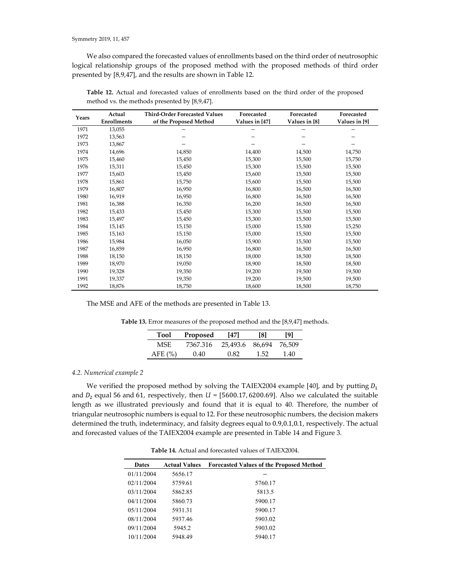We also compared the forecasted values of enrollments based on the third order of neutrosophic logical relationship groups of the proposed method with the proposed methods of third order presented by [8,9,47], and the results are shown in Table 12.

|       | Actual             | <b>Third-Order Forecasted Values</b> | Forecasted     | Forecasted    | Forecasted    |
|-------|--------------------|--------------------------------------|----------------|---------------|---------------|
| Years | <b>Enrollments</b> | of the Proposed Method               | Values in [47] | Values in [8] | Values in [9] |
| 1971  | 13,055             |                                      |                |               |               |
| 1972  | 13,563             |                                      |                |               |               |
| 1973  | 13,867             |                                      |                |               |               |
| 1974  | 14,696             | 14,850                               | 14,400         | 14,500        | 14,750        |
| 1975  | 15,460             | 15,450                               | 15,300         | 15,500        | 15,750        |
| 1976  | 15,311             | 15,450                               | 15,300         | 15,500        | 15,500        |
| 1977  | 15,603             | 15,450                               | 15,600         | 15,500        | 15,500        |
| 1978  | 15,861             | 15,750                               | 15,600         | 15,500        | 15,500        |
| 1979  | 16,807             | 16,950                               | 16,800         | 16,500        | 16,500        |
| 1980  | 16,919             | 16,950                               | 16,800         | 16,500        | 16,500        |
| 1981  | 16,388             | 16,350                               | 16,200         | 16,500        | 16,500        |
| 1982  | 15,433             | 15,450                               | 15,300         | 15,500        | 15,500        |
| 1983  | 15,497             | 15,450                               | 15,300         | 15,500        | 15,500        |
| 1984  | 15,145             | 15,150                               | 15,000         | 15,500        | 15,250        |
| 1985  | 15,163             | 15,150                               | 15,000         | 15,500        | 15,500        |
| 1986  | 15,984             | 16,050                               | 15,900         | 15,500        | 15,500        |
| 1987  | 16,859             | 16,950                               | 16,800         | 16,500        | 16,500        |
| 1988  | 18,150             | 18,150                               | 18,000         | 18,500        | 18,500        |
| 1989  | 18,970             | 19,050                               | 18,900         | 18,500        | 18,500        |
| 1990  | 19,328             | 19,350                               | 19,200         | 19,500        | 19,500        |
| 1991  | 19,337             | 19,350                               | 19,200         | 19,500        | 19,500        |
| 1992  | 18,876             | 18,750                               | 18,600         | 18,500        | 18,750        |

**Table 12.** Actual and forecasted values of enrollments based on the third order of the proposed method vs. the methods presented by [8,9,47].

The MSE and AFE of the methods are presented in Table 13.

**Table 13.** Error measures of the proposed method and the [8,9,47] methods.

| Tool        | Proposed | 1471     | [8]    | [9]    |
|-------------|----------|----------|--------|--------|
| MSE.        | 7367.316 | 25,493.6 | 86.694 | 76.509 |
| AFE $(\% )$ | 0.40     | 0.82     | 1.52   | 1.40   |

## *4.2. Numerical example 2*

We verified the proposed method by solving the TAIEX2004 example [40], and by putting  $D_1$ and  $D_2$  equal 56 and 61, respectively, then  $U = [5600.17, 6200.69]$ . Also we calculated the suitable length as we illustrated previously and found that it is equal to 40. Therefore, the number of triangular neutrosophic numbers is equal to 12. For these neutrosophic numbers, the decision makers determined the truth, indeterminacy, and falsity degrees equal to 0.9,0.1,0.1, respectively. The actual and forecasted values of the TAIEX2004 example are presented in Table 14 and Figure 3.

**Table 14.** Actual and forecasted values of TAIEX2004.

| <b>Dates</b> | <b>Actual Values</b> | <b>Forecasted Values of the Proposed Method</b> |
|--------------|----------------------|-------------------------------------------------|
| 01/11/2004   | 5656.17              |                                                 |
| 02/11/2004   | 5759.61              | 5760.17                                         |
| 03/11/2004   | 5862.85              | 5813.5                                          |
| 04/11/2004   | 5860.73              | 5900.17                                         |
| 05/11/2004   | 5931.31              | 5900.17                                         |
| 08/11/2004   | 5937.46              | 5903.02                                         |
| 09/11/2004   | 5945.2               | 5903.02                                         |
| 10/11/2004   | 5948.49              | 5940.17                                         |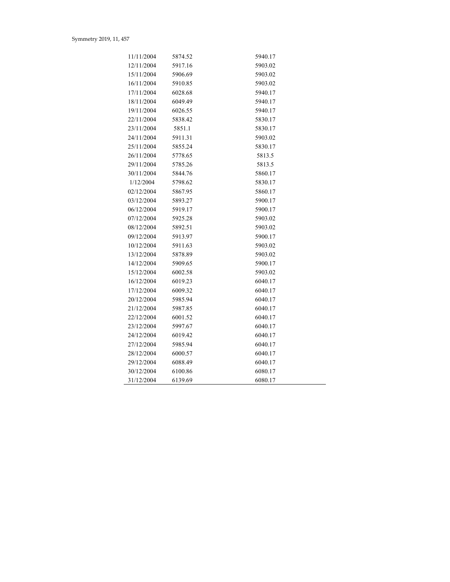| 11/11/2004 | 5874.52 | 5940.17 |
|------------|---------|---------|
| 12/11/2004 | 5917.16 | 5903.02 |
| 15/11/2004 | 5906.69 | 5903.02 |
| 16/11/2004 | 5910.85 | 5903.02 |
| 17/11/2004 | 6028.68 | 5940.17 |
| 18/11/2004 | 6049.49 | 5940.17 |
| 19/11/2004 | 6026.55 | 5940.17 |
| 22/11/2004 | 5838.42 | 5830.17 |
| 23/11/2004 | 5851.1  | 5830.17 |
| 24/11/2004 | 5911.31 | 5903.02 |
| 25/11/2004 | 5855.24 | 5830.17 |
| 26/11/2004 | 5778.65 | 5813.5  |
| 29/11/2004 | 5785.26 | 5813.5  |
| 30/11/2004 | 5844.76 | 5860.17 |
| 1/12/2004  | 5798.62 | 5830.17 |
| 02/12/2004 | 5867.95 | 5860.17 |
| 03/12/2004 | 5893.27 | 5900.17 |
| 06/12/2004 | 5919.17 | 5900.17 |
| 07/12/2004 | 5925.28 | 5903.02 |
| 08/12/2004 | 5892.51 | 5903.02 |
| 09/12/2004 | 5913.97 | 5900.17 |
| 10/12/2004 | 5911.63 | 5903.02 |
| 13/12/2004 | 5878.89 | 5903.02 |
| 14/12/2004 | 5909.65 | 5900.17 |
| 15/12/2004 | 6002.58 | 5903.02 |
| 16/12/2004 | 6019.23 | 6040.17 |
| 17/12/2004 | 6009.32 | 6040.17 |
| 20/12/2004 | 5985.94 | 6040.17 |
| 21/12/2004 | 5987.85 | 6040.17 |
| 22/12/2004 | 6001.52 | 6040.17 |
| 23/12/2004 | 5997.67 | 6040.17 |
| 24/12/2004 | 6019.42 | 6040.17 |
| 27/12/2004 | 5985.94 | 6040.17 |
| 28/12/2004 | 6000.57 | 6040.17 |
| 29/12/2004 | 6088.49 | 6040.17 |
| 30/12/2004 | 6100.86 | 6080.17 |
| 31/12/2004 | 6139.69 | 6080.17 |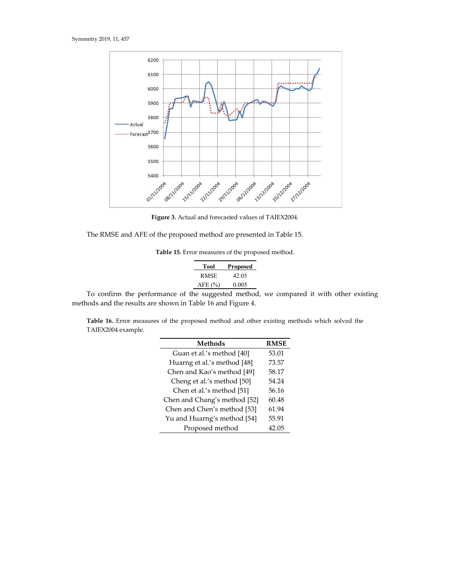

**Figure 3.** Actual and forecasted values of TAIEX2004.

The RMSE and AFE of the proposed method are presented in Table 15.

**Table 15.** Error measures of the proposed method.

| Tool        | <b>Proposed</b> |
|-------------|-----------------|
| <b>RMSE</b> | 42.05           |
| AFE $(\% )$ | 0.005           |

To confirm the performance of the suggested method, we compared it with other existing methods and the results are shown in Table 16 and Figure 4.

**Table 16.** Error measures of the proposed method and other existing methods which solved the TAIEX2004 example.

| <b>Methods</b>               | <b>RMSE</b> |
|------------------------------|-------------|
| Guan et al.'s method [40]    | 53.01       |
| Huarng et al.'s method [48]  | 73.57       |
| Chen and Kao's method [49]   | 58.17       |
| Cheng et al.'s method [50]   | 54.24       |
| Chen et al.'s method [51]    | 56.16       |
| Chen and Chang's method [52] | 60.48       |
| Chen and Chen's method [53]  | 61.94       |
| Yu and Huarng's method [54]  | 55.91       |
| Proposed method              | 42.05       |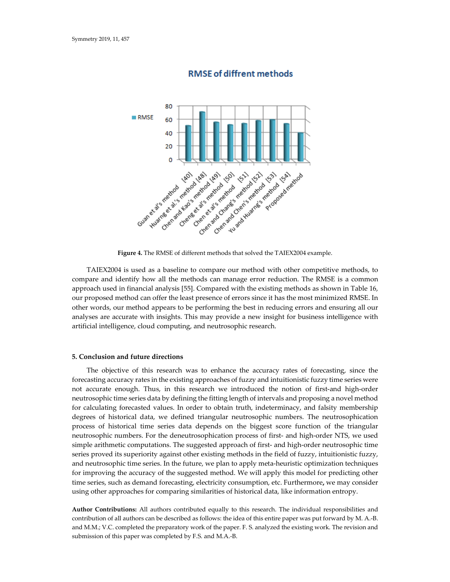

# **RMSE of diffrent methods**

**Figure 4.** The RMSE of different methods that solved the TAIEX2004 example.

TAIEX2004 is used as a baseline to compare our method with other competitive methods, to compare and identify how all the methods can manage error reduction. The RMSE is a common approach used in financial analysis [55]. Compared with the existing methods as shown in Table 16, our proposed method can offer the least presence of errors since it has the most minimized RMSE. In other words, our method appears to be performing the best in reducing errors and ensuring all our analyses are accurate with insights. This may provide a new insight for business intelligence with artificial intelligence, cloud computing, and neutrosophic research.

# **5. Conclusion and future directions**

The objective of this research was to enhance the accuracy rates of forecasting, since the forecasting accuracy rates in the existing approaches of fuzzy and intuitionistic fuzzy time series were not accurate enough. Thus, in this research we introduced the notion of first-and high-order neutrosophic time series data by defining the fitting length of intervals and proposing a novel method for calculating forecasted values. In order to obtain truth, indeterminacy, and falsity membership degrees of historical data, we defined triangular neutrosophic numbers. The neutrosophication process of historical time series data depends on the biggest score function of the triangular neutrosophic numbers. For the deneutrosophication process of first- and high-order NTS, we used simple arithmetic computations. The suggested approach of first- and high-order neutrosophic time series proved its superiority against other existing methods in the field of fuzzy, intuitionistic fuzzy, and neutrosophic time series. In the future, we plan to apply meta-heuristic optimization techniques for improving the accuracy of the suggested method. We will apply this model for predicting other time series, such as demand forecasting, electricity consumption, etc. Furthermore**,** we may consider using other approaches for comparing similarities of historical data, like information entropy.

**Author Contributions:** All authors contributed equally to this research. The individual responsibilities and contribution of all authors can be described as follows: the idea of this entire paper was put forward by M. A.-B. and M.M.; V.C. completed the preparatory work of the paper. F. S. analyzed the existing work. The revision and submission of this paper was completed by F.S. and M.A.-B.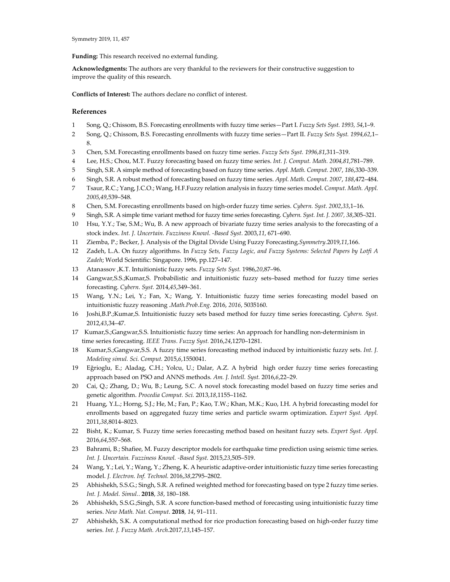Symmetry 2019, 11, 457

**Funding:** This research received no external funding.

**Acknowledgments:** The authors are very thankful to the reviewers for their constructive suggestion to improve the quality of this research.

**Conflicts of Interest:** The authors declare no conflict of interest.

## **References**

- 1 Song, Q.; Chissom, B.S. Forecasting enrollments with fuzzy time series—Part I. *Fuzzy Sets Syst. 1993, 54*,1–9.
- 2 Song, Q.; Chissom, B.S. Forecasting enrollments with fuzzy time series—Part II. *Fuzzy Sets Syst. 1994,62*,1– 8.
- 3 Chen, S.M. Forecasting enrollments based on fuzzy time series. *Fuzzy Sets Syst. 1996,81*,311–319.
- 4 Lee, H.S.; Chou, M.T. Fuzzy forecasting based on fuzzy time series. *Int. J. Comput. Math. 2004,81*,781–789.
- 5 Singh, S.R. A simple method of forecasting based on fuzzy time series. *Appl. Math. Comput. 2007*, *186*,330–339.
- 6 Singh, S.R. A robust method of forecasting based on fuzzy time series. *Appl. Math. Comput. 2007*, *188*,472–484.
- 7 Tsaur, R.C.; Yang, J.C.O.; Wang, H.F.Fuzzy relation analysis in fuzzy time series model. *Comput. Math. Appl. 2005*,*49*,539–548.
- 8 Chen, S.M. Forecasting enrollments based on high-order fuzzy time series. *Cybern. Syst. 2002,33*,1–16.
- 9 Singh, S.R. A simple time variant method for fuzzy time series forecasting. *Cybern. Syst. Int. J. 2007, 38*,305–321.
- 10 Hsu, Y.Y.; Tse, S.M.; Wu, B. A new approach of bivariate fuzzy time series analysis to the forecasting of a stock index. *Int. J. Uncertain. Fuzziness Knowl. -Based Syst.* 2003,*11*, 671–690.
- 11 Ziemba, P.; Becker, J. Analysis of the Digital Divide Using Fuzzy Forecasting.*Symmetry.*2019,*11*,166.
- 12 Zadeh, L.A. On fuzzy algorithms. In *Fuzzy Sets, Fuzzy Logic, and Fuzzy Systems: Selected Papers by Lotfi A Zadeh*; World Scientific: Singapore. 1996, pp.127–147.
- 13 Atanassov ,K.T. Intuitionistic fuzzy sets. *Fuzzy Sets Syst.* 1986,*20*,87–96.
- 14 Gangwar,S.S.;Kumar,S. Probabilistic and intuitionistic fuzzy sets–based method for fuzzy time series forecasting. *Cybern. Syst.* 2014,*45*,349–361.
- 15 Wang, Y.N.; Lei, Y.; Fan, X.; Wang, Y. Intuitionistic fuzzy time series forecasting model based on intuitionistic fuzzy reasoning .*Math.Prob.Eng.* 2016, *2016*, 5035160.
- 16 Joshi,B.P.;Kumar,S. Intuitionistic fuzzy sets based method for fuzzy time series forecasting. *Cybern. Syst.*  2012,*43*,34–47.
- 17 Kumar,S.;Gangwar,S.S. Intuitionistic fuzzy time series: An approach for handling non-determinism in time series forecasting. *IEEE Trans. Fuzzy Syst.* 2016,*24*,1270–1281.
- 18 Kumar,S.;Gangwar,S.S. A fuzzy time series forecasting method induced by intuitionistic fuzzy sets. *Int. J. Modeling simul. Sci. Comput.* 2015,*6*,1550041.
- 19 Eğrioglu, E.; Aladag, C.H.; Yolcu, U.; Dalar, A.Z. A hybrid high order fuzzy time series forecasting approach based on PSO and ANNS methods. *Am. J. Intell. Syst.* 2016,*6*,22–29.
- 20 Cai, Q.; Zhang, D.; Wu, B.; Leung, S.C. A novel stock forecasting model based on fuzzy time series and genetic algorithm. *Procedia Comput. Sci.* 2013,*18*,1155–1162.
- 21 Huang, Y.L.; Horng, S.J.; He, M.; Fan, P.; Kao, T.W.; Khan, M.K.; Kuo, I.H. A hybrid forecasting model for enrollments based on aggregated fuzzy time series and particle swarm optimization. *Expert Syst. Appl.*  2011,*38*,8014–8023.
- 22 Bisht, K.; Kumar, S. Fuzzy time series forecasting method based on hesitant fuzzy sets. *Expert Syst. Appl.*  2016,*64*,557–568.
- 23 Bahrami, B.; Shafiee, M. Fuzzy descriptor models for earthquake time prediction using seismic time series. *Int. J. Uncertain. Fuzziness Knowl. -Based Syst.* 2015,*23*,505–519.
- 24 Wang, Y.; Lei, Y.; Wang, Y.; Zheng, K. A heuristic adaptive-order intuitionistic fuzzy time series forecasting model. *J. Electron. Inf. Technol.* 2016,*38*,2795–2802.
- 25 Abhishekh, S.S.G.; Singh, S.R. A refined weighted method for forecasting based on type 2 fuzzy time series. *Int. J. Model. Simul.*. **2018**, *38*, 180–188.
- 26 Abhishekh, S.S.G.;Singh, S.R. A score function-based method of forecasting using intuitionistic fuzzy time series. *New Math. Nat. Comput*. **2018**, *14*, 91–111.
- 27 Abhishekh, S.K. A computational method for rice production forecasting based on high-order fuzzy time series*. Int. J. Fuzzy Math. Arch.*2017,*13*,145–157.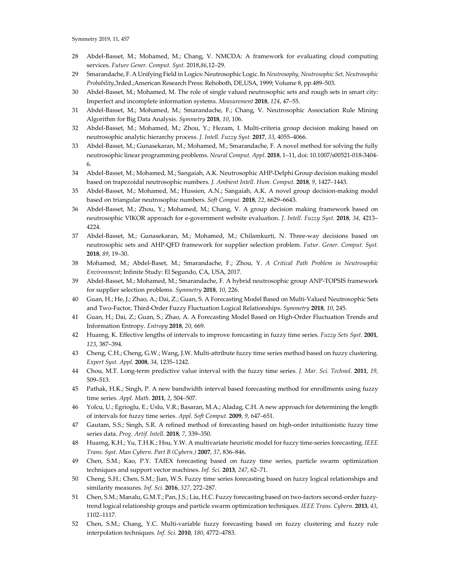- 28 Abdel-Basset, M.; Mohamed, M.; Chang, V. NMCDA: A framework for evaluating cloud computing services. *Future Gener. Comput. Syst.* 2018,*86*,12–29.
- 29 Smarandache, F. A Unifying Field in Logics: Neutrosophic Logic.In *Neutrosophy, Neutrosophic Set, Neutrosophic Probability*,3rded.;American Research Press: Rehoboth, DE,USA, 1999; Volume 8, pp.489–503.
- 30 Abdel-Basset, M.; Mohamed, M. The role of single valued neutrosophic sets and rough sets in smart city: Imperfect and incomplete information systems. *Measurement* **2018**, *124*, 47–55.
- 31 Abdel-Basset, M.; Mohamed, M.; Smarandache, F.; Chang, V. Neutrosophic Association Rule Mining Algorithm for Big Data Analysis. *Symmetry* **2018**, *10*, 106.
- 32 Abdel-Basset, M.; Mohamed, M.; Zhou, Y.; Hezam, I. Multi-criteria group decision making based on neutrosophic analytic hierarchy process. *J. Intell. Fuzzy Syst.* **2017**, *33*, 4055–4066.
- 33 Abdel-Basset, M.; Gunasekaran, M.; Mohamed, M.; Smarandache, F. A novel method for solving the fully neutrosophic linear programming problems. *Neural Comput. Appl.* **2018**, 1–11, doi: 10.1007/s00521-018-3404- 6.
- 34 Abdel-Basset, M.; Mohamed, M.; Sangaiah, A.K. Neutrosophic AHP-Delphi Group decision making model based on trapezoidal neutrosophic numbers. *J. Ambient Intell. Hum. Comput.* **2018**, *9*, 1427–1443.
- 35 Abdel-Basset, M.; Mohamed, M.; Hussien, A.N.; Sangaiah, A.K. A novel group decision-making model based on triangular neutrosophic numbers. *Soft Comput.* **2018**, *22*, 6629–6643.
- 36 Abdel-Basset, M.; Zhou, Y.; Mohamed, M.; Chang, V. A group decision making framework based on neutrosophic VIKOR approach for e-government website evaluation. *J. Intell. Fuzzy Syst.* **2018**, *34*, 4213– 4224.
- 37 Abdel-Basset, M.; Gunasekaran, M.; Mohamed, M.; Chilamkurti, N. Three-way decisions based on neutrosophic sets and AHP-QFD framework for supplier selection problem. *Futur. Gener. Comput. Syst.* **2018**, *89*, 19–30.
- 38 Mohamed, M.; Abdel-Baset, M.; Smarandache, F.; Zhou, Y. *A Critical Path Problem in Neutrosophic Environment*; Infinite Study: El Segundo, CA, USA, 2017.
- 39 Abdel-Basset, M.; Mohamed, M.; Smarandache, F. A hybrid neutrosophic group ANP-TOPSIS framework for supplier selection problems. *Symmetry* **2018**, *10*, 226.
- 40 Guan, H.; He, J.; Zhao, A.; Dai, Z.; Guan, S. A Forecasting Model Based on Multi-Valued Neutrosophic Sets and Two-Factor, Third-Order Fuzzy Fluctuation Logical Relationships. *Symmetry* **2018**, *10*, 245.
- 41 Guan, H.; Dai, Z.; Guan, S.; Zhao, A. A Forecasting Model Based on High-Order Fluctuation Trends and Information Entropy. *Entropy* **2018**, *20*, 669.
- 42 Huarng, K. Effective lengths of intervals to improve forecasting in fuzzy time series. *Fuzzy Sets Syst.* **2001**, *123*, 387–394.
- 43 Cheng, C.H.; Cheng, G.W.; Wang, J.W. Multi-attribute fuzzy time series method based on fuzzy clustering. *Expert Syst. Appl.* **2008**, *34*, 1235–1242.
- 44 Chou, M.T. Long-term predictive value interval with the fuzzy time series. *J. Mar. Sci. Technol.* **2011**, *19*, 509–513.
- 45 Pathak, H.K.; Singh, P. A new bandwidth interval based forecasting method for enrollments using fuzzy time series. *Appl. Math.* **2011**, *2*, 504–507.
- 46 Yolcu, U.; Egrioglu, E.; Uslu, V.R.; Basaran, M.A.; Aladag, C.H. A new approach for determining the length of intervals for fuzzy time series. *Appl. Soft Comput.* **2009**, *9*, 647–651.
- 47 Gautam, S.S.; Singh, S.R. A refined method of forecasting based on high-order intuitionistic fuzzy time series data. *Prog. Artif. Intell.* **2018**, *7*, 339–350.
- 48 Huarng, K.H.; Yu, T.H.K.; Hsu, Y.W. A multivariate heuristic model for fuzzy time-series forecasting. *IEEE Trans. Syst. Man Cybern. Part B (Cybern.)* **2007**, *37*, 836–846.
- 49 Chen, S.M.; Kao, P.Y. TAIEX forecasting based on fuzzy time series, particle swarm optimization techniques and support vector machines. *Inf. Sci.* **2013**, *247*, 62–71.
- 50 Cheng, S.H.; Chen, S.M.; Jian, W.S. Fuzzy time series forecasting based on fuzzy logical relationships and similarity measures. *Inf. Sci.* **2016**, *327*, 272–287.
- 51 Chen, S.M.; Manalu, G.M.T.; Pan, J.S.; Liu, H.C. Fuzzy forecasting based on two-factors second-order fuzzytrend logical relationship groups and particle swarm optimization techniques. *IEEE Trans. Cybern.* **2013**, 43, 1102–1117.
- 52 Chen, S.M.; Chang, Y.C. Multi-variable fuzzy forecasting based on fuzzy clustering and fuzzy rule interpolation techniques. *Inf. Sci.* **2010**, *180*, 4772–4783.